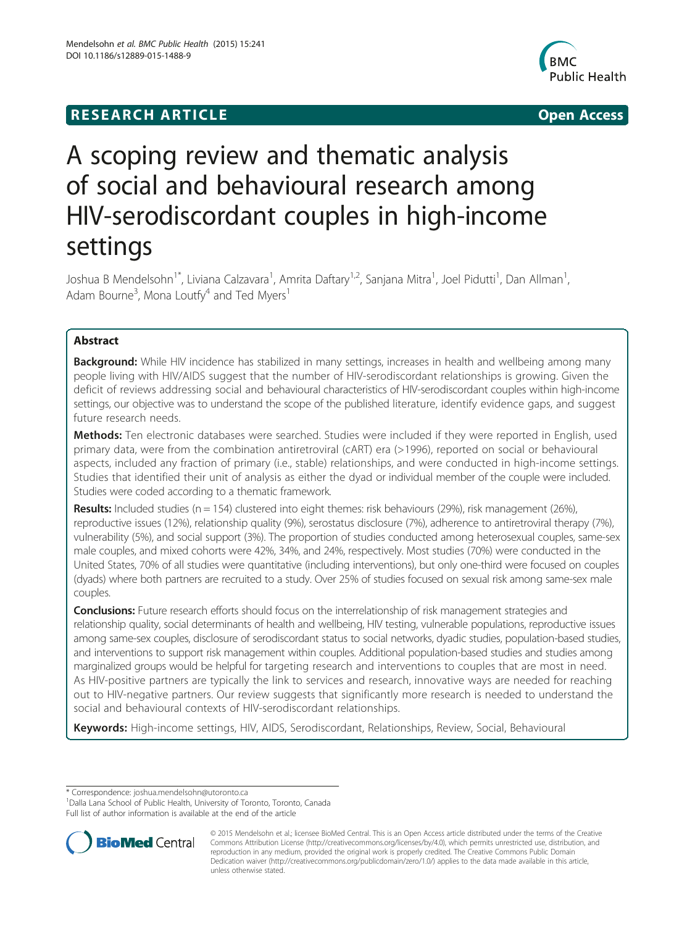## **RESEARCH ARTICLE Example 2014 CONSIDERING CONSIDERING CONSIDERING CONSIDERING CONSIDERING CONSIDERING CONSIDERING CONSIDERING CONSIDERING CONSIDERING CONSIDERING CONSIDERING CONSIDERING CONSIDERING CONSIDERING CONSIDE**



# A scoping review and thematic analysis of social and behavioural research among HIV-serodiscordant couples in high-income settings

Joshua B Mendelsohn<sup>1\*</sup>, Liviana Calzavara<sup>1</sup>, Amrita Daftary<sup>1,2</sup>, Sanjana Mitra<sup>1</sup>, Joel Pidutti<sup>1</sup>, Dan Allman<sup>1</sup> , Adam Bourne<sup>3</sup>, Mona Loutfy<sup>4</sup> and Ted Myers<sup>1</sup>

## Abstract

Background: While HIV incidence has stabilized in many settings, increases in health and wellbeing among many people living with HIV/AIDS suggest that the number of HIV-serodiscordant relationships is growing. Given the deficit of reviews addressing social and behavioural characteristics of HIV-serodiscordant couples within high-income settings, our objective was to understand the scope of the published literature, identify evidence gaps, and suggest future research needs.

Methods: Ten electronic databases were searched. Studies were included if they were reported in English, used primary data, were from the combination antiretroviral (cART) era (>1996), reported on social or behavioural aspects, included any fraction of primary (i.e., stable) relationships, and were conducted in high-income settings. Studies that identified their unit of analysis as either the dyad or individual member of the couple were included. Studies were coded according to a thematic framework.

Results: Included studies (n = 154) clustered into eight themes: risk behaviours (29%), risk management (26%), reproductive issues (12%), relationship quality (9%), serostatus disclosure (7%), adherence to antiretroviral therapy (7%), vulnerability (5%), and social support (3%). The proportion of studies conducted among heterosexual couples, same-sex male couples, and mixed cohorts were 42%, 34%, and 24%, respectively. Most studies (70%) were conducted in the United States, 70% of all studies were quantitative (including interventions), but only one-third were focused on couples (dyads) where both partners are recruited to a study. Over 25% of studies focused on sexual risk among same-sex male couples.

**Conclusions:** Future research efforts should focus on the interrelationship of risk management strategies and relationship quality, social determinants of health and wellbeing, HIV testing, vulnerable populations, reproductive issues among same-sex couples, disclosure of serodiscordant status to social networks, dyadic studies, population-based studies, and interventions to support risk management within couples. Additional population-based studies and studies among marginalized groups would be helpful for targeting research and interventions to couples that are most in need. As HIV-positive partners are typically the link to services and research, innovative ways are needed for reaching out to HIV-negative partners. Our review suggests that significantly more research is needed to understand the social and behavioural contexts of HIV-serodiscordant relationships.

Keywords: High-income settings, HIV, AIDS, Serodiscordant, Relationships, Review, Social, Behavioural

\* Correspondence: [joshua.mendelsohn@utoronto.ca](mailto:joshua.mendelsohn@utoronto.ca) <sup>1</sup>

Full list of author information is available at the end of the article



<sup>© 2015</sup> Mendelsohn et al.; licensee BioMed Central. This is an Open Access article distributed under the terms of the Creative Commons Attribution License [\(http://creativecommons.org/licenses/by/4.0\)](http://creativecommons.org/licenses/by/4.0), which permits unrestricted use, distribution, and reproduction in any medium, provided the original work is properly credited. The Creative Commons Public Domain Dedication waiver [\(http://creativecommons.org/publicdomain/zero/1.0/](http://creativecommons.org/publicdomain/zero/1.0/)) applies to the data made available in this article, unless otherwise stated.

<sup>&</sup>lt;sup>1</sup> Dalla Lana School of Public Health, University of Toronto, Toronto, Canada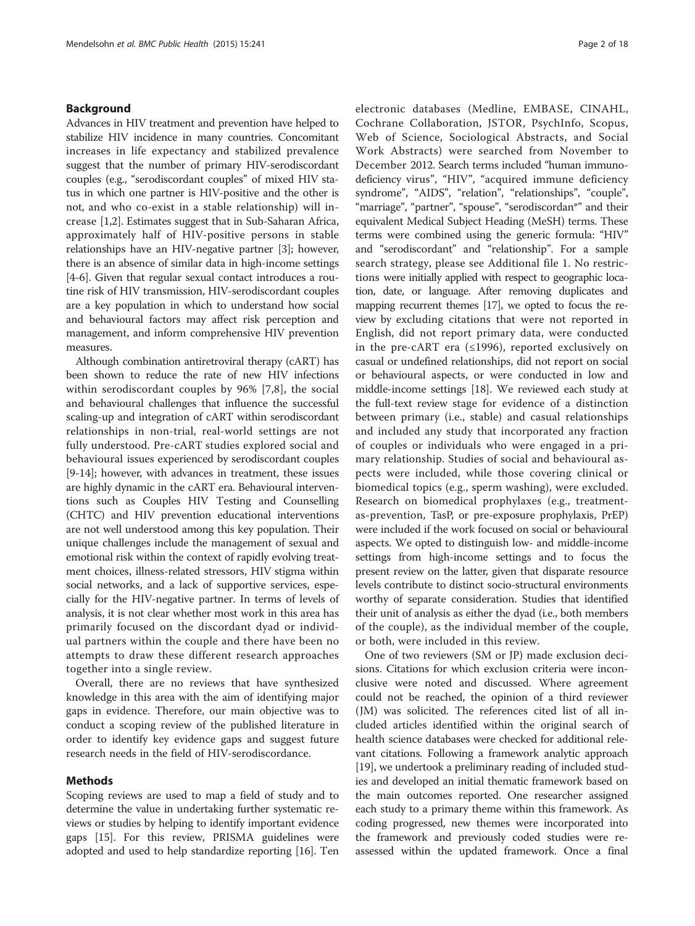#### Background

Advances in HIV treatment and prevention have helped to stabilize HIV incidence in many countries. Concomitant increases in life expectancy and stabilized prevalence suggest that the number of primary HIV-serodiscordant couples (e.g., "serodiscordant couples" of mixed HIV status in which one partner is HIV-positive and the other is not, and who co-exist in a stable relationship) will increase [[1,2\]](#page-13-0). Estimates suggest that in Sub-Saharan Africa, approximately half of HIV-positive persons in stable relationships have an HIV-negative partner [\[3](#page-13-0)]; however, there is an absence of similar data in high-income settings [[4-6\]](#page-13-0). Given that regular sexual contact introduces a routine risk of HIV transmission, HIV-serodiscordant couples are a key population in which to understand how social and behavioural factors may affect risk perception and management, and inform comprehensive HIV prevention measures.

Although combination antiretroviral therapy (cART) has been shown to reduce the rate of new HIV infections within serodiscordant couples by 96% [[7,8\]](#page-13-0), the social and behavioural challenges that influence the successful scaling-up and integration of cART within serodiscordant relationships in non-trial, real-world settings are not fully understood. Pre-cART studies explored social and behavioural issues experienced by serodiscordant couples [[9-14\]](#page-14-0); however, with advances in treatment, these issues are highly dynamic in the cART era. Behavioural interventions such as Couples HIV Testing and Counselling (CHTC) and HIV prevention educational interventions are not well understood among this key population. Their unique challenges include the management of sexual and emotional risk within the context of rapidly evolving treatment choices, illness-related stressors, HIV stigma within social networks, and a lack of supportive services, especially for the HIV-negative partner. In terms of levels of analysis, it is not clear whether most work in this area has primarily focused on the discordant dyad or individual partners within the couple and there have been no attempts to draw these different research approaches together into a single review.

Overall, there are no reviews that have synthesized knowledge in this area with the aim of identifying major gaps in evidence. Therefore, our main objective was to conduct a scoping review of the published literature in order to identify key evidence gaps and suggest future research needs in the field of HIV-serodiscordance.

#### Methods

Scoping reviews are used to map a field of study and to determine the value in undertaking further systematic reviews or studies by helping to identify important evidence gaps [\[15\]](#page-14-0). For this review, PRISMA guidelines were adopted and used to help standardize reporting [\[16\]](#page-14-0). Ten electronic databases (Medline, EMBASE, CINAHL, Cochrane Collaboration, JSTOR, PsychInfo, Scopus, Web of Science, Sociological Abstracts, and Social Work Abstracts) were searched from November to December 2012. Search terms included "human immunodeficiency virus", "HIV", "acquired immune deficiency syndrome", "AIDS", "relation", "relationships", "couple", "marriage", "partner", "spouse", "serodiscordan\*" and their equivalent Medical Subject Heading (MeSH) terms. These terms were combined using the generic formula: "HIV" and "serodiscordant" and "relationship". For a sample search strategy, please see Additional file [1](#page-13-0). No restrictions were initially applied with respect to geographic location, date, or language. After removing duplicates and mapping recurrent themes [\[17](#page-14-0)], we opted to focus the review by excluding citations that were not reported in English, did not report primary data, were conducted in the pre-cART era (≤1996), reported exclusively on casual or undefined relationships, did not report on social or behavioural aspects, or were conducted in low and middle-income settings [[18](#page-14-0)]. We reviewed each study at the full-text review stage for evidence of a distinction between primary (i.e., stable) and casual relationships and included any study that incorporated any fraction of couples or individuals who were engaged in a primary relationship. Studies of social and behavioural aspects were included, while those covering clinical or biomedical topics (e.g., sperm washing), were excluded. Research on biomedical prophylaxes (e.g., treatmentas-prevention, TasP, or pre-exposure prophylaxis, PrEP) were included if the work focused on social or behavioural aspects. We opted to distinguish low- and middle-income settings from high-income settings and to focus the present review on the latter, given that disparate resource levels contribute to distinct socio-structural environments worthy of separate consideration. Studies that identified their unit of analysis as either the dyad (i.e., both members of the couple), as the individual member of the couple, or both, were included in this review.

One of two reviewers (SM or JP) made exclusion decisions. Citations for which exclusion criteria were inconclusive were noted and discussed. Where agreement could not be reached, the opinion of a third reviewer (JM) was solicited. The references cited list of all included articles identified within the original search of health science databases were checked for additional relevant citations. Following a framework analytic approach [[19](#page-14-0)], we undertook a preliminary reading of included studies and developed an initial thematic framework based on the main outcomes reported. One researcher assigned each study to a primary theme within this framework. As coding progressed, new themes were incorporated into the framework and previously coded studies were reassessed within the updated framework. Once a final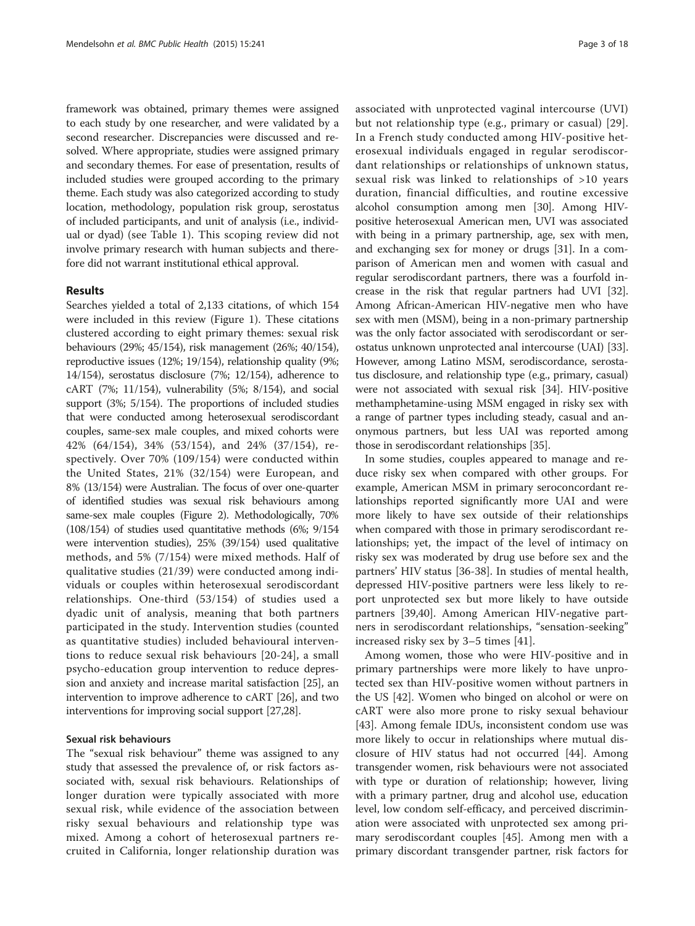framework was obtained, primary themes were assigned to each study by one researcher, and were validated by a second researcher. Discrepancies were discussed and resolved. Where appropriate, studies were assigned primary and secondary themes. For ease of presentation, results of included studies were grouped according to the primary theme. Each study was also categorized according to study location, methodology, population risk group, serostatus of included participants, and unit of analysis (i.e., individual or dyad) (see Table [1\)](#page-3-0). This scoping review did not involve primary research with human subjects and therefore did not warrant institutional ethical approval.

#### Results

Searches yielded a total of 2,133 citations, of which 154 were included in this review (Figure [1](#page-8-0)). These citations clustered according to eight primary themes: sexual risk behaviours (29%; 45/154), risk management (26%; 40/154), reproductive issues (12%; 19/154), relationship quality (9%; 14/154), serostatus disclosure (7%; 12/154), adherence to cART (7%; 11/154), vulnerability (5%; 8/154), and social support (3%; 5/154). The proportions of included studies that were conducted among heterosexual serodiscordant couples, same-sex male couples, and mixed cohorts were 42% (64/154), 34% (53/154), and 24% (37/154), respectively. Over 70% (109/154) were conducted within the United States, 21% (32/154) were European, and 8% (13/154) were Australian. The focus of over one-quarter of identified studies was sexual risk behaviours among same-sex male couples (Figure [2](#page-9-0)). Methodologically, 70% (108/154) of studies used quantitative methods (6%; 9/154 were intervention studies), 25% (39/154) used qualitative methods, and 5% (7/154) were mixed methods. Half of qualitative studies (21/39) were conducted among individuals or couples within heterosexual serodiscordant relationships. One-third (53/154) of studies used a dyadic unit of analysis, meaning that both partners participated in the study. Intervention studies (counted as quantitative studies) included behavioural interventions to reduce sexual risk behaviours [[20](#page-14-0)-[24\]](#page-14-0), a small psycho-education group intervention to reduce depression and anxiety and increase marital satisfaction [[25](#page-14-0)], an intervention to improve adherence to cART [\[26\]](#page-14-0), and two interventions for improving social support [\[27,28\]](#page-14-0).

#### Sexual risk behaviours

The "sexual risk behaviour" theme was assigned to any study that assessed the prevalence of, or risk factors associated with, sexual risk behaviours. Relationships of longer duration were typically associated with more sexual risk, while evidence of the association between risky sexual behaviours and relationship type was mixed. Among a cohort of heterosexual partners recruited in California, longer relationship duration was

associated with unprotected vaginal intercourse (UVI) but not relationship type (e.g., primary or casual) [[29](#page-14-0)]. In a French study conducted among HIV-positive heterosexual individuals engaged in regular serodiscordant relationships or relationships of unknown status, sexual risk was linked to relationships of >10 years duration, financial difficulties, and routine excessive alcohol consumption among men [\[30](#page-14-0)]. Among HIVpositive heterosexual American men, UVI was associated with being in a primary partnership, age, sex with men, and exchanging sex for money or drugs [[31\]](#page-14-0). In a comparison of American men and women with casual and regular serodiscordant partners, there was a fourfold increase in the risk that regular partners had UVI [[32](#page-14-0)]. Among African-American HIV-negative men who have sex with men (MSM), being in a non-primary partnership was the only factor associated with serodiscordant or serostatus unknown unprotected anal intercourse (UAI) [[33](#page-14-0)]. However, among Latino MSM, serodiscordance, serostatus disclosure, and relationship type (e.g., primary, casual) were not associated with sexual risk [[34](#page-14-0)]. HIV-positive methamphetamine-using MSM engaged in risky sex with a range of partner types including steady, casual and anonymous partners, but less UAI was reported among those in serodiscordant relationships [\[35\]](#page-14-0).

In some studies, couples appeared to manage and reduce risky sex when compared with other groups. For example, American MSM in primary seroconcordant relationships reported significantly more UAI and were more likely to have sex outside of their relationships when compared with those in primary serodiscordant relationships; yet, the impact of the level of intimacy on risky sex was moderated by drug use before sex and the partners' HIV status [[36-38\]](#page-14-0). In studies of mental health, depressed HIV-positive partners were less likely to report unprotected sex but more likely to have outside partners [[39](#page-14-0),[40](#page-14-0)]. Among American HIV-negative partners in serodiscordant relationships, "sensation-seeking" increased risky sex by 3–5 times [[41](#page-14-0)].

Among women, those who were HIV-positive and in primary partnerships were more likely to have unprotected sex than HIV-positive women without partners in the US [[42\]](#page-14-0). Women who binged on alcohol or were on cART were also more prone to risky sexual behaviour [[43\]](#page-14-0). Among female IDUs, inconsistent condom use was more likely to occur in relationships where mutual disclosure of HIV status had not occurred [[44\]](#page-14-0). Among transgender women, risk behaviours were not associated with type or duration of relationship; however, living with a primary partner, drug and alcohol use, education level, low condom self-efficacy, and perceived discrimination were associated with unprotected sex among primary serodiscordant couples [[45](#page-14-0)]. Among men with a primary discordant transgender partner, risk factors for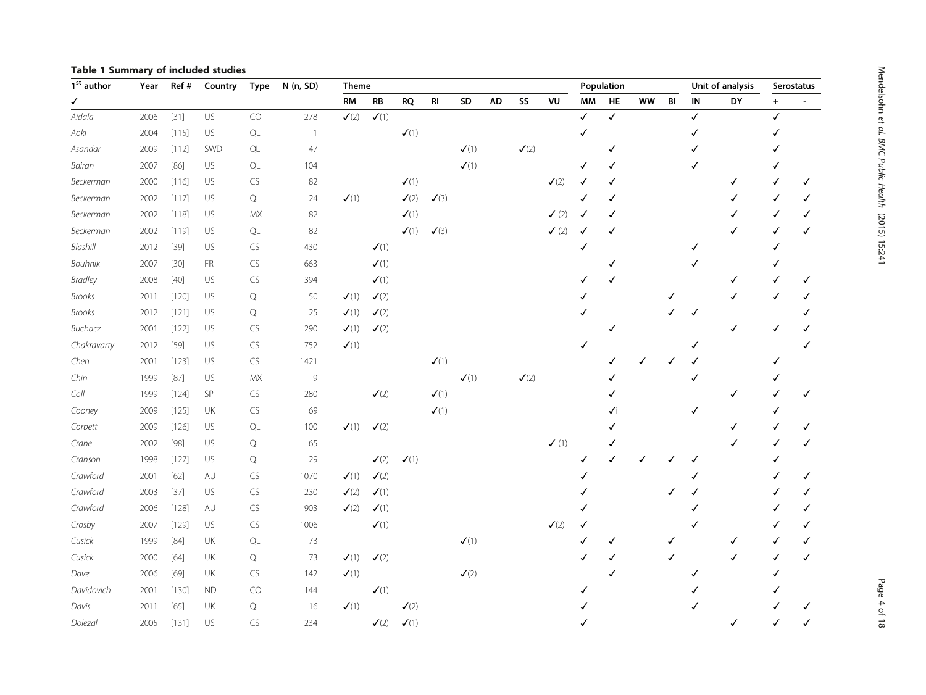### <span id="page-3-0"></span>Table 1 Summary of included studies

| 1 <sup>st</sup> author | Year | Ref #   | Country | <b>Type</b>   | N (n, SD)      | Theme            |                               |                               |                              |                              |           |                              |                  |              | Population |           |    |          | Unit of analysis | <b>Serostatus</b> |   |
|------------------------|------|---------|---------|---------------|----------------|------------------|-------------------------------|-------------------------------|------------------------------|------------------------------|-----------|------------------------------|------------------|--------------|------------|-----------|----|----------|------------------|-------------------|---|
| ✓                      |      |         |         |               |                | <b>RM</b>        | ${\sf RB}$                    | RQ                            | RI                           | SD                           | <b>AD</b> | SS                           | VU               | MM           | HE         | <b>WW</b> | BI | $\sf IN$ | DY               | $\ddot{}$         |   |
| Aidala                 | 2006 | $[31]$  | US      | $\mathsf{CO}$ | 278            | $\checkmark$ (2) | $\boldsymbol{\checkmark}(1)$  |                               |                              |                              |           |                              |                  | ✓            | ✓          |           |    | ✓        |                  | ✓                 |   |
| Aoki                   | 2004 | [115]   | US      | $\mathsf{QL}$ | $\overline{1}$ |                  |                               | $\boldsymbol{\checkmark}(1)$  |                              |                              |           |                              |                  |              |            |           |    |          |                  |                   |   |
| Asandar                | 2009 | [112]   | SWD     | $\mathsf{QL}$ | 47             |                  |                               |                               |                              | $\checkmark(1)$              |           | $\boldsymbol{\checkmark}(2)$ |                  |              |            |           |    |          |                  |                   |   |
| Bairan                 | 2007 | $[86]$  | US      | $\mathsf{QL}$ | 104            |                  |                               |                               |                              | $\boldsymbol{\checkmark}(1)$ |           |                              |                  |              |            |           |    |          |                  |                   |   |
| Beckerman              | 2000 | [116]   | US      | CS            | 82             |                  |                               | $\checkmark(1)$               |                              |                              |           |                              | $\checkmark$ (2) |              |            |           |    |          | ✓                |                   | ✓ |
| Beckerman              | 2002 | [117]   | US      | $\mathsf{QL}$ | 24             | J(1)             |                               | $\checkmark(2)$               | $\checkmark$ (3)             |                              |           |                              |                  |              |            |           |    |          | √                |                   |   |
| Beckerman              | 2002 | [118]   | US      | <b>MX</b>     | 82             |                  |                               | $\checkmark(1)$               |                              |                              |           |                              | $\checkmark$ (2) |              |            |           |    |          |                  |                   |   |
| Beckerman              | 2002 | [119]   | US      | $\mathsf{QL}$ | 82             |                  |                               | J(1)                          | $\checkmark$ (3)             |                              |           |                              | (2)              | $\checkmark$ |            |           |    |          | √                |                   |   |
| Blashill               | 2012 | $[39]$  | US      | ${\sf CS}$    | 430            |                  | $\boldsymbol{\mathcal{J}}(1)$ |                               |                              |                              |           |                              |                  |              |            |           |    |          |                  |                   |   |
| Bouhnik                | 2007 | $[30]$  | FR.     | CS            | 663            |                  | $\checkmark(1)$               |                               |                              |                              |           |                              |                  |              |            |           |    | ✓        |                  |                   |   |
| <b>Bradley</b>         | 2008 | $[40]$  | US      | ${\sf CS}$    | 394            |                  | $\checkmark(1)$               |                               |                              |                              |           |                              |                  |              |            |           |    |          | √                |                   |   |
| Brooks                 | 2011 | $[120]$ | US      | $\mathsf{QL}$ | 50             | $\checkmark$ (1) | $\checkmark(2)$               |                               |                              |                              |           |                              |                  |              |            |           |    |          | ✓                |                   |   |
| Brooks                 | 2012 | [121]   | US      | QL            | 25             | $\checkmark$ (1) | $\boldsymbol{\checkmark}(2)$  |                               |                              |                              |           |                              |                  |              |            |           |    | ✓        |                  |                   |   |
| Buchacz                | 2001 | [122]   | US      | CS            | 290            | $\checkmark(1)$  | $\checkmark(2)$               |                               |                              |                              |           |                              |                  |              |            |           |    |          | √                |                   |   |
| Chakravarty            | 2012 | $[59]$  | US      | CS            | 752            | J(1)             |                               |                               |                              |                              |           |                              |                  |              |            |           |    |          |                  |                   |   |
| Chen                   | 2001 | [123]   | US      | ${\sf CS}$    | 1421           |                  |                               |                               | $\boldsymbol{\checkmark}(1)$ |                              |           |                              |                  |              |            |           |    |          |                  |                   |   |
| Chin                   | 1999 | [87]    | US      | <b>MX</b>     | 9              |                  |                               |                               |                              | $\boldsymbol{\checkmark}(1)$ |           | $\boldsymbol{\checkmark}(2)$ |                  |              |            |           |    |          |                  |                   |   |
| Coll                   | 1999 | [124]   | SP      | ${\sf CS}$    | 280            |                  | $\checkmark(2)$               |                               | $\checkmark(1)$              |                              |           |                              |                  |              |            |           |    |          | ✓                |                   |   |
| Cooney                 | 2009 | [125]   | UK      | CS            | 69             |                  |                               |                               | $\boldsymbol{\checkmark}(1)$ |                              |           |                              |                  |              | ✓          |           |    | ✓        |                  |                   |   |
| Corbett                | 2009 | [126]   | US      | $\mathsf{QL}$ | 100            | $\checkmark$ (1) | $\checkmark(2)$               |                               |                              |                              |           |                              |                  |              |            |           |    |          | √                |                   | ✓ |
| Crane                  | 2002 | $[98]$  | US      | QL            | 65             |                  |                               |                               |                              |                              |           |                              | $\checkmark$ (1) |              | ✓          |           |    |          |                  |                   |   |
| Cranson                | 1998 | [127]   | US      | $\mathsf{QL}$ | 29             |                  | $\checkmark(2)$               | $\boldsymbol{\checkmark}(1)$  |                              |                              |           |                              |                  |              |            |           |    |          |                  |                   |   |
| Crawford               | 2001 | [62]    | AU      | ${\sf CS}$    | 1070           | J(1)             | $\checkmark(2)$               |                               |                              |                              |           |                              |                  |              |            |           |    |          |                  |                   |   |
| Crawford               | 2003 | [37]    | US      | CS            | 230            | $\checkmark$ (2) | $\checkmark(1)$               |                               |                              |                              |           |                              |                  |              |            |           |    |          |                  |                   |   |
| Crawford               | 2006 | [128]   | AU      | CS            | 903            | $\checkmark$ (2) | $\boldsymbol{\checkmark}(1)$  |                               |                              |                              |           |                              |                  |              |            |           |    |          |                  |                   |   |
| Crosby                 | 2007 | [129]   | US      | ${\sf CS}$    | 1006           |                  | $\checkmark(1)$               |                               |                              |                              |           |                              | $\checkmark(2)$  |              |            |           |    |          |                  |                   |   |
| Cusick                 | 1999 | $[84]$  | UK      | $\mathsf{QL}$ | 73             |                  |                               |                               |                              | $\boldsymbol{\checkmark}(1)$ |           |                              |                  |              | ✓          |           |    |          | ✓                |                   |   |
| Cusick                 | 2000 | $[64]$  | UK      | $\mathsf{QL}$ | 73             | $\checkmark(1)$  | $\checkmark(2)$               |                               |                              |                              |           |                              |                  |              |            |           | ✓  |          | √                |                   |   |
| Dave                   | 2006 | $[69]$  | UK      | CS            | 142            | $\checkmark(1)$  |                               |                               |                              | $\boldsymbol{\checkmark}(2)$ |           |                              |                  |              |            |           |    |          |                  |                   |   |
| Davidovich             | 2001 | [130]   | ND.     | CO            | 144            |                  | $\boldsymbol{\mathcal{J}}(1)$ |                               |                              |                              |           |                              |                  |              |            |           |    |          |                  |                   |   |
| Davis                  | 2011 | [65]    | UK      | $\mathsf{QL}$ | 16             | $\checkmark(1)$  |                               | $\checkmark(2)$               |                              |                              |           |                              |                  |              |            |           |    |          |                  |                   |   |
| Dolezal                | 2005 | [131]   | US      | CS            | 234            |                  | $\checkmark(2)$               | $\boldsymbol{\mathcal{J}}(1)$ |                              |                              |           |                              |                  |              |            |           |    |          | √                |                   | ✓ |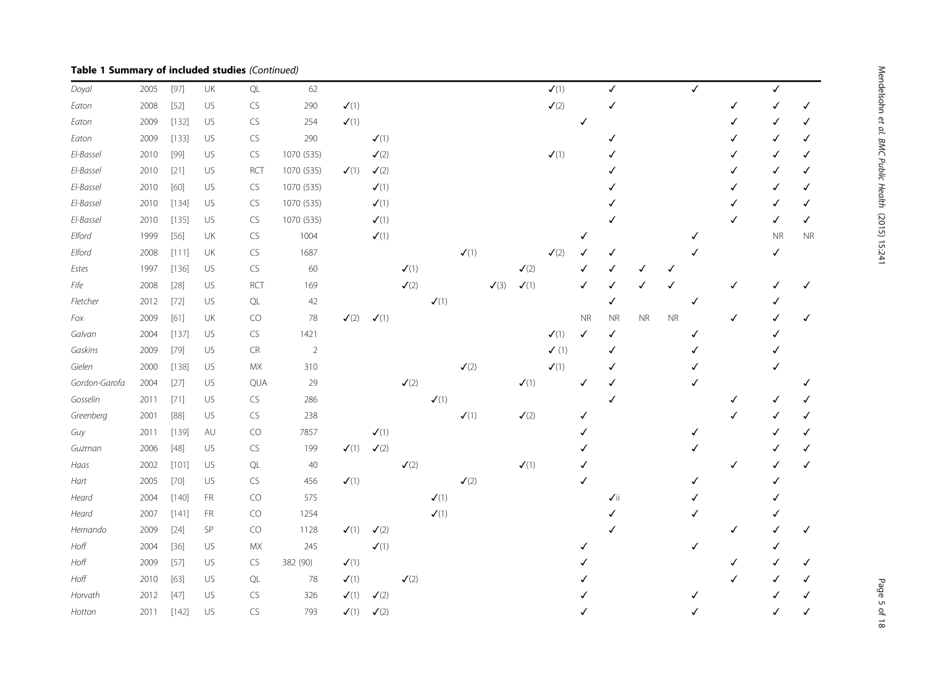| Doyal         | 2005 | $[97]$  | UK  | $\mathsf{QL}$ | 62             |                  |                               |                              |                 |                              |                  |                              | $\boldsymbol{\checkmark}(1)$ |           | ✓           |           |          | ✓ |   | ✓         |           |
|---------------|------|---------|-----|---------------|----------------|------------------|-------------------------------|------------------------------|-----------------|------------------------------|------------------|------------------------------|------------------------------|-----------|-------------|-----------|----------|---|---|-----------|-----------|
| Eaton         | 2008 | $[52]$  | US  | ${\sf CS}$    | 290            | J(1)             |                               |                              |                 |                              |                  |                              | $\boldsymbol{\checkmark}(2)$ |           |             |           |          |   | √ |           | ✓         |
| Eaton         | 2009 | [132]   | US  | ${\sf CS}$    | 254            | $\checkmark(1)$  |                               |                              |                 |                              |                  |                              |                              | ✓         |             |           |          |   |   |           |           |
| Eaton         | 2009 | [133]   | US  | ${\sf CS}$    | 290            |                  | $\checkmark(1)$               |                              |                 |                              |                  |                              |                              |           |             |           |          |   | √ |           | ✓         |
| El-Bassel     | 2010 | $[99]$  | US  | CS            | 1070 (535)     |                  | $\checkmark(2)$               |                              |                 |                              |                  |                              | $\checkmark(1)$              |           |             |           |          |   | √ |           | ✓         |
| El-Bassel     | 2010 | $[21]$  | US  | RCT           | 1070 (535)     | $\checkmark(1)$  | $\checkmark(2)$               |                              |                 |                              |                  |                              |                              |           |             |           |          |   | ✓ |           | ✓         |
| El-Bassel     | 2010 | $[60]$  | US  | CS            | 1070 (535)     |                  | $\checkmark(1)$               |                              |                 |                              |                  |                              |                              |           |             |           |          |   | √ |           | ✓         |
| El-Bassel     | 2010 | [134]   | US  | CS.           | 1070 (535)     |                  | $\checkmark(1)$               |                              |                 |                              |                  |                              |                              |           |             |           |          |   | ✓ |           |           |
| El-Bassel     | 2010 | [135]   | US  | CS.           | 1070 (535)     |                  | $\boldsymbol{\mathcal{J}}(1)$ |                              |                 |                              |                  |                              |                              |           |             |           |          |   | √ |           |           |
| Elford        | 1999 | $[56]$  | UK  | CS            | 1004           |                  | $\boldsymbol{\mathcal{J}}(1)$ |                              |                 |                              |                  |                              |                              |           |             |           |          |   |   | <b>NR</b> | <b>NR</b> |
| Elford        | 2008 | [111]   | UK  | ${\sf CS}$    | 1687           |                  |                               |                              |                 | $\boldsymbol{\checkmark}(1)$ |                  |                              | $\checkmark(2)$              |           |             |           |          |   |   | ✓         |           |
| Estes         | 1997 | [136]   | US  | CS            | 60             |                  |                               | J(1)                         |                 |                              |                  | $\checkmark(2)$              |                              |           |             | √         |          |   |   |           |           |
| Fife          | 2008 | $[28]$  | US  | RCT           | 169            |                  |                               | $\checkmark(2)$              |                 |                              | $\checkmark$ (3) | $\checkmark(1)$              |                              |           |             |           |          |   | √ |           |           |
| Fletcher      | 2012 | $[72]$  | US  | $\mathsf{QL}$ | 42             |                  |                               |                              | $\checkmark(1)$ |                              |                  |                              |                              |           | ℐ           |           |          | ✓ |   |           |           |
| $Fox$         | 2009 | [61]    | UK  | CO            | 78             | $\checkmark(2)$  | $\checkmark(1)$               |                              |                 |                              |                  |                              |                              | <b>NR</b> | <b>NR</b>   | <b>NR</b> | $\sf NR$ |   | √ |           |           |
| Galvan        | 2004 | [137]   | US  | ${\sf CS}$    | 1421           |                  |                               |                              |                 |                              |                  |                              | $\checkmark(1)$              | ✓         | ✓           |           |          | ✓ |   |           |           |
| Gaskins       | 2009 | $[79]$  | US  | ${\sf CR}$    | $\overline{2}$ |                  |                               |                              |                 |                              |                  |                              | $\checkmark$ (1)             |           |             |           |          |   |   |           |           |
| Gielen        | 2000 | [138]   | US  | MX            | 310            |                  |                               |                              |                 | $\boldsymbol{\checkmark}(2)$ |                  |                              | $\boldsymbol{\checkmark}(1)$ |           |             |           |          |   |   |           |           |
| Gordon-Garofa | 2004 | [27]    | US  | QUA           | 29             |                  |                               | $\checkmark(2)$              |                 |                              |                  | $\checkmark(1)$              |                              | ✓         |             |           |          |   |   |           |           |
| Gosselin      | 2011 | $[71]$  | US  | CS            | 286            |                  |                               |                              | J(1)            |                              |                  |                              |                              |           |             |           |          |   | ✓ |           |           |
| Greenberg     | 2001 | $[88]$  | US  | ${\sf CS}$    | 238            |                  |                               |                              |                 | $\checkmark(1)$              |                  | $\boldsymbol{\checkmark}(2)$ |                              |           |             |           |          |   | ✓ |           |           |
| Guy           | 2011 | [139]   | AU  | CO            | 7857           |                  | $\boldsymbol{\mathcal{J}}(1)$ |                              |                 |                              |                  |                              |                              |           |             |           |          | ✓ |   |           |           |
| Guzman        | 2006 | $[48]$  | US  | CS            | 199            | J(1)             | $\checkmark(2)$               |                              |                 |                              |                  |                              |                              |           |             |           |          |   |   |           |           |
| Haas          | 2002 | $[101]$ | US  | $\mathsf{QL}$ | 40             |                  |                               | $\checkmark(2)$              |                 |                              |                  | $\checkmark(1)$              |                              |           |             |           |          |   | ✓ |           |           |
| Hart          | 2005 | $[70]$  | US  | ${\sf CS}$    | 456            | J(1)             |                               |                              |                 | $\boldsymbol{\checkmark}(2)$ |                  |                              |                              |           |             |           |          |   |   |           |           |
| Heard         | 2004 | $[140]$ | FR. | CO            | 575            |                  |                               |                              | $\checkmark(1)$ |                              |                  |                              |                              |           | $\sqrt{11}$ |           |          |   |   |           |           |
| Heard         | 2007 | [141]   | FR. | CO            | 1254           |                  |                               |                              | J(1)            |                              |                  |                              |                              |           |             |           |          |   |   |           |           |
| Hernando      | 2009 | $[24]$  | SP  | CO            | 1128           | $\checkmark(1)$  | $\boldsymbol{\checkmark}(2)$  |                              |                 |                              |                  |                              |                              |           |             |           |          |   | √ |           |           |
| Hoff          | 2004 | $[36]$  | US  | MX            | 245            |                  | $\boldsymbol{\mathcal{J}}(1)$ |                              |                 |                              |                  |                              |                              |           |             |           |          | ✓ |   |           |           |
| Hoff          | 2009 | [57]    | US  | CS            | 382 (90)       | $\checkmark(1)$  |                               |                              |                 |                              |                  |                              |                              |           |             |           |          |   | √ |           |           |
| Hoff          | 2010 | $[63]$  | US  | $\mathsf{QL}$ | 78             | $\checkmark(1)$  |                               | $\boldsymbol{\checkmark}(2)$ |                 |                              |                  |                              |                              |           |             |           |          |   | √ |           |           |
| Horvath       | 2012 | $[47]$  | US  | CS            | 326            | $\checkmark(1)$  | $\checkmark$ (2)              |                              |                 |                              |                  |                              |                              |           |             |           |          |   |   |           |           |
| Hotton        | 2011 | $[142]$ | US  | CS            | 793            | $\checkmark$ (1) | $\checkmark(2)$               |                              |                 |                              |                  |                              |                              |           |             |           |          |   |   |           |           |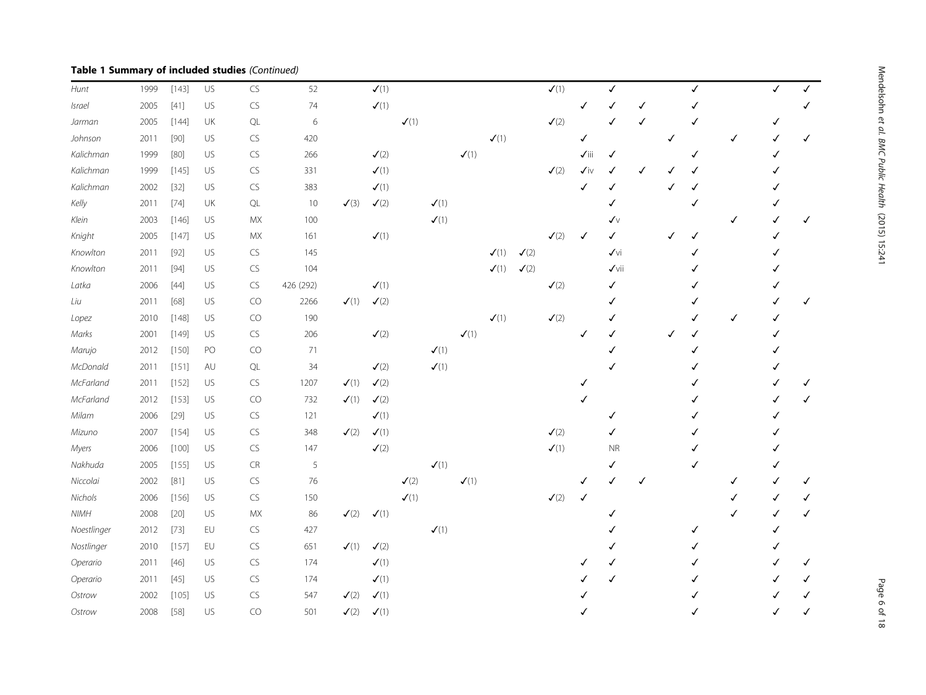| Hunt        | 1999 | [143]   | US            | $\mathsf{CS}\xspace$ | 52        |                  | $\checkmark(1)$               |                              |                               |      |                               |                              | $\boldsymbol{\checkmark}(1)$ |                 | ✓                |   | ✓ |   | ✓ |   |
|-------------|------|---------|---------------|----------------------|-----------|------------------|-------------------------------|------------------------------|-------------------------------|------|-------------------------------|------------------------------|------------------------------|-----------------|------------------|---|---|---|---|---|
|             |      |         |               |                      |           |                  |                               |                              |                               |      |                               |                              |                              |                 |                  |   |   |   |   |   |
| Israel      | 2005 | $[41]$  | US            | ${\sf CS}$           | 74        |                  | $\boldsymbol{\checkmark}(1)$  |                              |                               |      |                               |                              |                              | ✓               | ✓                |   | ✓ |   |   |   |
| Jarman      | 2005 | $[144]$ | UK            | $\mathsf{QL}$        | 6         |                  |                               | $\boldsymbol{\checkmark}(1)$ |                               |      |                               |                              | $\boldsymbol{\checkmark}(2)$ |                 |                  |   | ✓ |   |   |   |
| Johnson     | 2011 | $[90]$  | US            | ${\sf CS}$           | 420       |                  |                               |                              |                               |      | J(1)                          |                              |                              | ✓               |                  |   |   |   |   |   |
| Kalichman   | 1999 | [80]    | US            | CS                   | 266       |                  | $\boldsymbol{\checkmark}(2)$  |                              |                               | J(1) |                               |                              |                              | $\sqrt{ }$ iii  | ✓                |   | ✓ |   |   |   |
| Kalichman   | 1999 | $[145]$ | US            | CS                   | 331       |                  | J(1)                          |                              |                               |      |                               |                              | $\checkmark$ (2)             | $\checkmark$ iv | ✓                |   | ✓ |   |   |   |
| Kalichman   | 2002 | $[32]$  | US            | CS                   | 383       |                  | J(1)                          |                              |                               |      |                               |                              |                              | ✓               | √                |   | ✓ |   |   |   |
| Kelly       | 2011 | $[74]$  | UK            | $\mathsf{QL}$        | 10        | $\checkmark$ (3) | $\checkmark(2)$               |                              | $\boldsymbol{\checkmark}(1)$  |      |                               |                              |                              |                 | ℐ                |   | ✓ |   |   |   |
| Klein       | 2003 | [146]   | US            | ${\sf M}{\sf X}$     | 100       |                  |                               |                              | $\boldsymbol{\mathcal{J}}(1)$ |      |                               |                              |                              |                 | ✓∨               |   |   |   |   | ✓ |
| Knight      | 2005 | [147]   | US            | ${\sf M}{\sf X}$     | 161       |                  | $\boldsymbol{\checkmark}(1)$  |                              |                               |      |                               |                              | $\checkmark(2)$              | ✓               | ✓                | ✓ | ✓ |   |   |   |
| Knowlton    | 2011 | $[92]$  | US            | ${\sf CS}$           | 145       |                  |                               |                              |                               |      | J(1)                          | $\boldsymbol{\checkmark}(2)$ |                              |                 | $\checkmark$ vi  |   | ✓ |   |   |   |
| Knowlton    | 2011 | $[94]$  | US            | ${\sf CS}$           | 104       |                  |                               |                              |                               |      | $\boldsymbol{\mathcal{J}}(1)$ | $\checkmark(2)$              |                              |                 | $\checkmark$ vii |   |   |   |   |   |
| Latka       | 2006 | $[44]$  | US            | CS                   | 426 (292) |                  | J(1)                          |                              |                               |      |                               |                              | $\boldsymbol{\checkmark}(2)$ |                 | ✓                |   |   |   |   |   |
| Liu         | 2011 | $[68]$  | US            | CO                   | 2266      | $\checkmark$ (1) | $\checkmark(2)$               |                              |                               |      |                               |                              |                              |                 | ✓                |   | ✓ |   |   |   |
| Lopez       | 2010 | [148]   | US            | CO                   | 190       |                  |                               |                              |                               |      | J(1)                          |                              | $\checkmark(2)$              |                 | ✓                |   | ✓ | ✓ |   |   |
| Marks       | 2001 | $[149]$ | US            | CS                   | 206       |                  | $\boldsymbol{\checkmark}(2)$  |                              |                               | J(1) |                               |                              |                              | ✓               | ✓                | ✓ | ✓ |   |   |   |
| Marujo      | 2012 | $[150]$ | PO            | $\mathsf{CO}$        | 71        |                  |                               |                              | $\checkmark(1)$               |      |                               |                              |                              |                 |                  |   |   |   |   |   |
| McDonald    | 2011 | [151]   | $\mathsf{AU}$ | $\mathsf{QL}$        | 34        |                  | $\boldsymbol{\checkmark}(2)$  |                              | $\boldsymbol{\checkmark}(1)$  |      |                               |                              |                              |                 | ✓                |   |   |   |   |   |
| McFarland   | 2011 | $[152]$ | US            | ${\sf CS}$           | 1207      | $\checkmark(1)$  | $\checkmark(2)$               |                              |                               |      |                               |                              |                              |                 |                  |   | ✓ |   |   |   |
| McFarland   | 2012 | [153]   | US            | $\mathsf{CO}$        | 732       | $\checkmark(1)$  | $\boldsymbol{\checkmark}(2)$  |                              |                               |      |                               |                              |                              |                 |                  |   |   |   |   |   |
| Milam       | 2006 | $[29]$  | US            | ${\sf CS}$           | 121       |                  | J(1)                          |                              |                               |      |                               |                              |                              |                 | ✓                |   | ✓ |   |   |   |
| Mizuno      | 2007 | [154]   | US            | CS                   | 348       | $\checkmark$ (2) | J(1)                          |                              |                               |      |                               |                              | $\checkmark(2)$              |                 | ✓                |   | ✓ |   |   |   |
| Myers       | 2006 | $[100]$ | US            | CS                   | 147       |                  | $\boldsymbol{\checkmark}(2)$  |                              |                               |      |                               |                              | $\boldsymbol{\checkmark}(1)$ |                 | <b>NR</b>        |   | ✓ |   |   |   |
| Nakhuda     | 2005 | [155]   | US            | ${\sf CR}$           | 5         |                  |                               |                              | J(1)                          |      |                               |                              |                              |                 | ✓                |   | ✓ |   |   |   |
| Niccolai    | 2002 | $[81]$  | US            | CS                   | 76        |                  |                               | $\checkmark(2)$              |                               | J(1) |                               |                              |                              |                 |                  |   |   |   |   |   |
| Nichols     | 2006 | $[156]$ | US            | ${\sf CS}$           | 150       |                  |                               | $\boldsymbol{\checkmark}(1)$ |                               |      |                               |                              | $\checkmark(2)$              | ✓               |                  |   |   |   |   |   |
| $NIMH$      | 2008 | $[20]$  | US            | ${\sf M}{\sf X}$     | 86        | $\checkmark(2)$  | $\checkmark(1)$               |                              |                               |      |                               |                              |                              |                 | ✓                |   |   |   |   |   |
| Noestlinger | 2012 | [73]    | EU            | ${\sf CS}$           | 427       |                  |                               |                              | $\boldsymbol{\checkmark}(1)$  |      |                               |                              |                              |                 |                  |   | ✓ |   |   |   |
| Nostlinger  | 2010 | [157]   | EU            | CS                   | 651       | J(1)             | $\boldsymbol{\mathcal{J}}(2)$ |                              |                               |      |                               |                              |                              |                 |                  |   | ✓ |   |   |   |
| Operario    | 2011 | $[46]$  | US            | ${\sf CS}$           | 174       |                  | J(1)                          |                              |                               |      |                               |                              |                              |                 |                  |   |   |   |   |   |
| Operario    | 2011 | $[45]$  | US            | CS                   | 174       |                  | $\checkmark(1)$               |                              |                               |      |                               |                              |                              |                 | ✓                |   |   |   |   |   |
| Ostrow      | 2002 | [105]   | US            | <b>CS</b>            | 547       | $\checkmark$ (2) | $\checkmark(1)$               |                              |                               |      |                               |                              |                              |                 |                  |   |   |   |   |   |
| Ostrow      | 2008 | $[58]$  | US            | CO                   | 501       | J(2)             | J(1)                          |                              |                               |      |                               |                              |                              |                 |                  |   | ✓ |   |   | ✓ |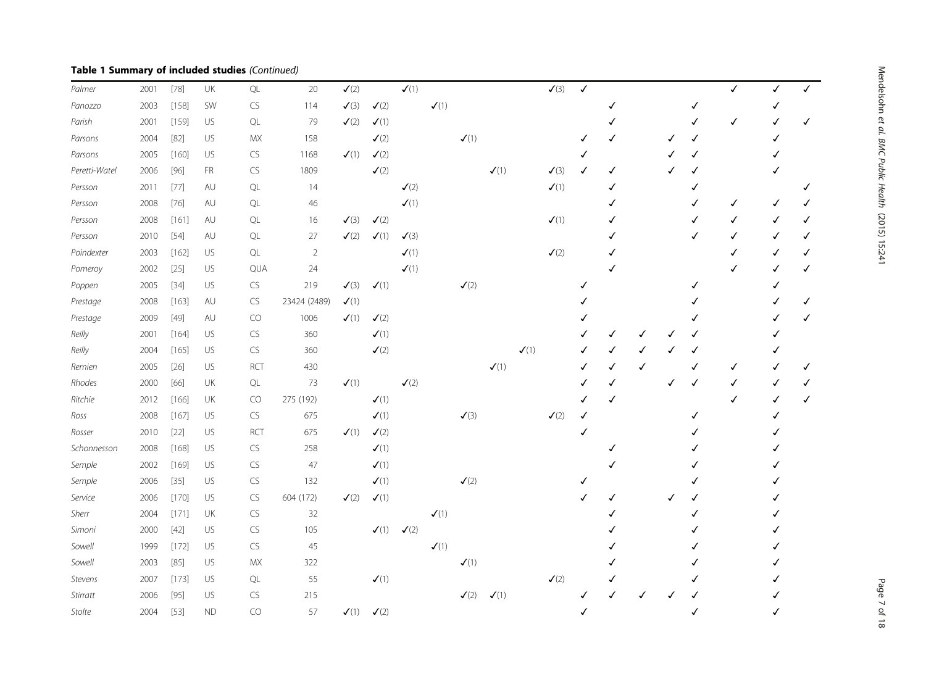| Palmer        | 2001 | $[78]$  | UK        | $\mathsf{QL}$    | $20\,$         | $\boldsymbol{\checkmark}(2)$ |                              | $\checkmark(1)$              |                              |                                        |                 |                               | $\boldsymbol{\checkmark}(3)$ | $\checkmark$ |   |   |   | ✓ |  |
|---------------|------|---------|-----------|------------------|----------------|------------------------------|------------------------------|------------------------------|------------------------------|----------------------------------------|-----------------|-------------------------------|------------------------------|--------------|---|---|---|---|--|
| Panozzo       | 2003 | [158]   | SW        | ${\sf CS}$       | 114            | $\checkmark$ (3)             | $\checkmark(2)$              |                              | $\boldsymbol{\checkmark}(1)$ |                                        |                 |                               |                              |              |   |   |   |   |  |
| Parish        | 2001 | [159]   | US        | $\mathsf{QL}$    | 79             | $\checkmark(2)$              | $\checkmark(1)$              |                              |                              |                                        |                 |                               |                              |              |   |   |   | ✓ |  |
| Parsons       | 2004 | $[82]$  | US        | MX               | 158            |                              | $\checkmark(2)$              |                              |                              | $\boldsymbol{\checkmark}(1)$           |                 |                               |                              |              |   |   |   |   |  |
| Parsons       | 2005 | $[160]$ | US        | CS               | 1168           | $\checkmark$ (1)             | $\checkmark(2)$              |                              |                              |                                        |                 |                               |                              |              |   |   |   |   |  |
| Peretti-Watel | 2006 | $[96]$  | <b>FR</b> | CS               | 1809           |                              | $\checkmark(2)$              |                              |                              |                                        | J(1)            |                               | $\checkmark$ (3)             | ✓            | ✓ |   |   |   |  |
| Persson       | 2011 | $[77]$  | AU        | $\mathsf{QL}$    | 14             |                              |                              | $\boldsymbol{\checkmark}(2)$ |                              |                                        |                 |                               | $\checkmark(1)$              |              |   |   |   |   |  |
| Persson       | 2008 | $[76]$  | AU        | $\mathsf{QL}$    | $46\,$         |                              |                              | $\boldsymbol{\checkmark}(1)$ |                              |                                        |                 |                               |                              |              |   |   |   | ✓ |  |
| Persson       | 2008 | [161]   | AU        | $\mathsf{QL}$    | 16             | $\checkmark$ (3)             | $\checkmark(2)$              |                              |                              |                                        |                 |                               | $\checkmark(1)$              |              |   |   |   | ✓ |  |
| Persson       | 2010 | $[54]$  | AU        | $\mathsf{QL}$    | $27\,$         | $\checkmark(2)$              | J(1)                         | $\checkmark$ (3)             |                              |                                        |                 |                               |                              |              |   |   |   | √ |  |
| Poindexter    | 2003 | $[162]$ | US        | QL               | $\overline{2}$ |                              |                              | $\checkmark(1)$              |                              |                                        |                 |                               | $\checkmark(2)$              |              |   |   |   | √ |  |
| Pomeroy       | 2002 | $[25]$  | US        | QUA              | 24             |                              |                              | J(1)                         |                              |                                        |                 |                               |                              |              |   |   |   | ✓ |  |
| Poppen        | 2005 | $[34]$  | US        | ${\sf CS}$       | 219            | $\checkmark$ (3)             | $\checkmark(1)$              |                              |                              | $\boldsymbol{\checkmark}(2)$           |                 |                               |                              |              |   |   |   |   |  |
| Prestage      | 2008 | [163]   | AU        | CS               | 23424 (2489)   | $\checkmark(1)$              |                              |                              |                              |                                        |                 |                               |                              |              |   |   |   |   |  |
| Prestage      | 2009 | $[49]$  | AU        | $\mathsf{CO}$    | 1006           | J(1)                         | $\boldsymbol{\checkmark}(2)$ |                              |                              |                                        |                 |                               |                              |              |   |   |   |   |  |
| Reilly        | 2001 | [164]   | US        | CS               | 360            |                              | $\checkmark(1)$              |                              |                              |                                        |                 |                               |                              |              |   | ✓ |   |   |  |
| Reilly        | 2004 | [165]   | US        | CS               | 360            |                              | $\boldsymbol{\checkmark}(2)$ |                              |                              |                                        |                 | $\boldsymbol{\mathcal{J}}(1)$ |                              |              |   |   |   |   |  |
| Remien        | 2005 | $[26]$  | US        | RCT              | 430            |                              |                              |                              |                              |                                        | J(1)            |                               |                              |              | √ |   |   | √ |  |
| Rhodes        | 2000 | [66]    | UK        | QL               | 73             | J(1)                         |                              | $\checkmark(2)$              |                              |                                        |                 |                               |                              |              |   |   | ℐ | √ |  |
| Ritchie       | 2012 | [166]   | UK        | CO               | 275 (192)      |                              | $\checkmark(1)$              |                              |                              |                                        |                 |                               |                              |              | ✓ |   |   | ✓ |  |
| Ross          | 2008 | [167]   | US        | CS               | 675            |                              | $\checkmark(1)$              |                              |                              | $\boldsymbol{\checkmark}(\mathcal{X})$ |                 |                               | $\checkmark(2)$              |              |   |   |   |   |  |
| Rosser        | 2010 | $[22]$  | US        | <b>RCT</b>       | 675            | $\checkmark$ (1)             | $\checkmark(2)$              |                              |                              |                                        |                 |                               |                              | ✓            |   |   |   |   |  |
| Schonnesson   | 2008 | [168]   | US        | ${\sf CS}$       | 258            |                              | $\checkmark(1)$              |                              |                              |                                        |                 |                               |                              |              |   |   |   |   |  |
| Semple        | 2002 | [169]   | US        | CS               | 47             |                              | $\checkmark(1)$              |                              |                              |                                        |                 |                               |                              |              |   |   |   |   |  |
| Semple        | 2006 | $[35]$  | US        | CS               | 132            |                              | $\checkmark(1)$              |                              |                              | $\boldsymbol{\checkmark}(2)$           |                 |                               |                              |              |   |   |   |   |  |
| Service       | 2006 | [170]   | US        | CS               | 604 (172)      | $\checkmark$ (2)             | $\checkmark(1)$              |                              |                              |                                        |                 |                               |                              |              |   |   |   |   |  |
| Sherr         | 2004 | [171]   | UK        | ${\sf CS}$       | 32             |                              |                              |                              | $\checkmark(1)$              |                                        |                 |                               |                              |              |   |   |   |   |  |
| Simoni        | 2000 | $[42]$  | US        | ${\sf CS}$       | 105            |                              | $\checkmark(1)$              | $\checkmark(2)$              |                              |                                        |                 |                               |                              |              |   |   |   |   |  |
| Sowell        | 1999 | [172]   | US        | CS               | 45             |                              |                              |                              | J(1)                         |                                        |                 |                               |                              |              |   |   |   |   |  |
| Sowell        | 2003 | $[85]$  | US        | ${\sf M}{\sf X}$ | 322            |                              |                              |                              |                              | $\boldsymbol{\checkmark}(1)$           |                 |                               |                              |              |   |   |   |   |  |
| Stevens       | 2007 | [173]   | US        | QL               | 55             |                              | $\checkmark(1)$              |                              |                              |                                        |                 |                               | $\checkmark(2)$              |              |   |   |   |   |  |
| Stirratt      | 2006 | $[95]$  | US        | CS               | 215            |                              |                              |                              |                              | $\checkmark(2)$                        | $\checkmark(1)$ |                               |                              |              |   |   |   |   |  |
| Stolte        | 2004 | $[53]$  | <b>ND</b> | CO               | 57             | $\checkmark(1)$              | $\checkmark(2)$              |                              |                              |                                        |                 |                               |                              | $\checkmark$ |   |   |   |   |  |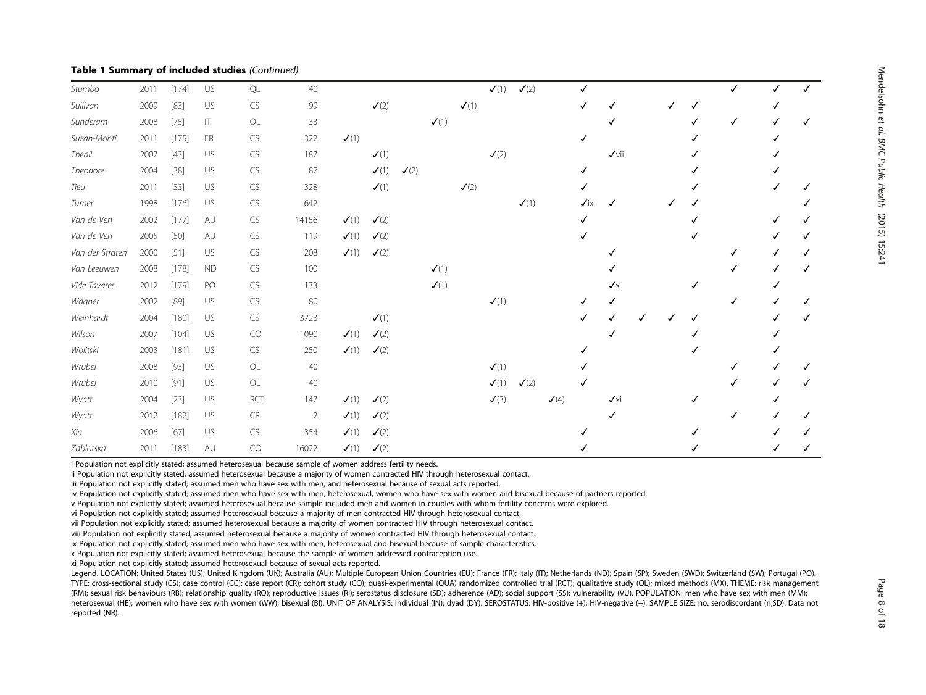| Stumbo          | 2011 | [174]   | US        | $\mathsf{QL}$ | $40\,$         |                  |                               |                 |                               |                 | $\checkmark(1)$  | $\checkmark(2)$  |                  |            |                |   |   |  |
|-----------------|------|---------|-----------|---------------|----------------|------------------|-------------------------------|-----------------|-------------------------------|-----------------|------------------|------------------|------------------|------------|----------------|---|---|--|
| Sullivan        | 2009 | $[83]$  | US        | CS            | 99             |                  | $\checkmark(2)$               |                 |                               | $\checkmark(1)$ |                  |                  |                  |            |                | ✓ |   |  |
| Sunderam        | 2008 | $[75]$  | П         | $\mathsf{QL}$ | 33             |                  |                               |                 | $\checkmark(1)$               |                 |                  |                  |                  |            |                |   | ✓ |  |
| Suzan-Monti     | 2011 | [175]   | <b>FR</b> | CS            | 322            | $\checkmark(1)$  |                               |                 |                               |                 |                  |                  |                  |            |                |   |   |  |
| Theall          | 2007 | $[43]$  | US        | CS            | 187            |                  | $\boldsymbol{\mathcal{J}}(1)$ |                 |                               |                 | $\checkmark(2)$  |                  |                  |            | $\sqrt{v}$ iii |   |   |  |
| Theodore        | 2004 | $[38]$  | US        | CS            | 87             |                  | $\checkmark(1)$               | $\checkmark(2)$ |                               |                 |                  |                  |                  |            |                |   |   |  |
| Tieu            | 2011 | [33]    | US        | CS            | 328            |                  | $\checkmark(1)$               |                 |                               | $\checkmark(2)$ |                  |                  |                  |            |                |   |   |  |
| Turner          | 1998 | [176]   | US        | CS            | 642            |                  |                               |                 |                               |                 |                  | $\checkmark(1)$  |                  | $\sqrt{X}$ | √              |   |   |  |
| Van de Ven      | 2002 | [177]   | AU        | CS            | 14156          | $\checkmark(1)$  | $\checkmark$ (2)              |                 |                               |                 |                  |                  |                  |            |                |   |   |  |
| Van de Ven      | 2005 | $[50]$  | AU        | CS            | 119            | $\checkmark(1)$  | $\checkmark(2)$               |                 |                               |                 |                  |                  |                  |            |                |   |   |  |
| Van der Straten | 2000 | [51]    | US        | ${\sf CS}$    | 208            | $\checkmark(1)$  | $\checkmark(2)$               |                 |                               |                 |                  |                  |                  |            |                |   |   |  |
| Van Leeuwen     | 2008 | [178]   | <b>ND</b> | CS            | 100            |                  |                               |                 | $\boldsymbol{\mathcal{J}}(1)$ |                 |                  |                  |                  |            |                |   |   |  |
| Vide Tavares    | 2012 | $[179]$ | PO        | CS            | 133            |                  |                               |                 | $\checkmark(1)$               |                 |                  |                  |                  |            | $\checkmark$   |   |   |  |
| Wagner          | 2002 | $[89]$  | US        | CS            | 80             |                  |                               |                 |                               |                 | $\checkmark(1)$  |                  |                  |            |                |   |   |  |
| Weinhardt       | 2004 | [180]   | US        | CS            | 3723           |                  | $\checkmark(1)$               |                 |                               |                 |                  |                  |                  |            |                |   |   |  |
| Wilson          | 2007 | $[104]$ | US        | CO            | 1090           | $\checkmark(1)$  | $\checkmark(2)$               |                 |                               |                 |                  |                  |                  |            |                |   |   |  |
| Wolitski        | 2003 | [181]   | US        | CS            | 250            | $\checkmark(1)$  | $\checkmark$ (2)              |                 |                               |                 |                  |                  |                  |            |                |   |   |  |
| Wrubel          | 2008 | $[93]$  | US        | QL            | 40             |                  |                               |                 |                               |                 | $\checkmark(1)$  |                  |                  |            |                |   |   |  |
| Wrubel          | 2010 | $[91]$  | US        | $\mathsf{QL}$ | 40             |                  |                               |                 |                               |                 | $\checkmark(1)$  | $\checkmark$ (2) |                  |            |                |   |   |  |
| Wyatt           | 2004 | $[23]$  | US        | <b>RCT</b>    | 147            | $\checkmark(1)$  | $\checkmark(2)$               |                 |                               |                 | $\checkmark$ (3) |                  | $\checkmark$ (4) |            | $\sqrt{x}$ i   |   |   |  |
| Wyatt           | 2012 | [182]   | US        | CR            | $\overline{2}$ | $\checkmark$ (1) | $\checkmark(2)$               |                 |                               |                 |                  |                  |                  |            |                |   |   |  |
| Xia             | 2006 | $[67]$  | US        | CS            | 354            | $\checkmark$ (1) | $\checkmark$ (2)              |                 |                               |                 |                  |                  |                  |            |                |   |   |  |
| Zablotska       | 2011 | [183]   | AU        | CO            | 16022          | $\checkmark(1)$  | $\checkmark(2)$               |                 |                               |                 |                  |                  |                  |            |                |   |   |  |

i Population not explicitly stated; assumed heterosexual because sample of women address fertility needs.

ii Population not explicitly stated; assumed heterosexual because a majority of women contracted HIV through heterosexual contact.

iii Population not explicitly stated; assumed men who have sex with men, and heterosexual because of sexual acts reported.

iv Population not explicitly stated; assumed men who have sex with men, heterosexual, women who have sex with women and bisexual because of partners reported.

v Population not explicitly stated; assumed heterosexual because sample included men and women in couples with whom fertility concerns were explored.

vi Population not explicitly stated; assumed heterosexual because a majority of men contracted HIV through heterosexual contact.

vii Population not explicitly stated; assumed heterosexual because a majority of women contracted HIV through heterosexual contact.

viii Population not explicitly stated; assumed heterosexual because a majority of women contracted HIV through heterosexual contact.

ix Population not explicitly stated; assumed men who have sex with men, heterosexual and bisexual because of sample characteristics.

x Population not explicitly stated; assumed heterosexual because the sample of women addressed contraception use.

xi Population not explicitly stated; assumed heterosexual because of sexual acts reported.

Legend. LOCATION: United States (US); United Kingdom (UK); Australia (AU); Multiple European Union Countries (EU); France (FR); Italy (IT); Netherlands (ND); Spain (SP); Sweden (SWD); Switzerland (SW); Portugal (PO). TYPE: cross-sectional study (CS); case control (CC); case report (CR); cohort study (CO); quasi-experimental (QUA) randomized controlled trial (RCT); qualitative study (QL); mixed methods (MX). THEME: risk management (RM); sexual risk behaviours (RB); relationship quality (RQ); reproductive issues (RI); serostatus disclosure (SD); adherence (AD); social support (SS); vulnerability (VU). POPULATION: men who have sex with men (MM); heterosexual (HE); women who have sex with women (WW); bisexual (BI). UNIT OF ANALYSIS: individual (IN); dyad (DY). SEROSTATUS: HIV-positive (+); HIV-negative (−). SAMPLE SIZE: no. serodiscordant (n,SD). Data not reported (NR).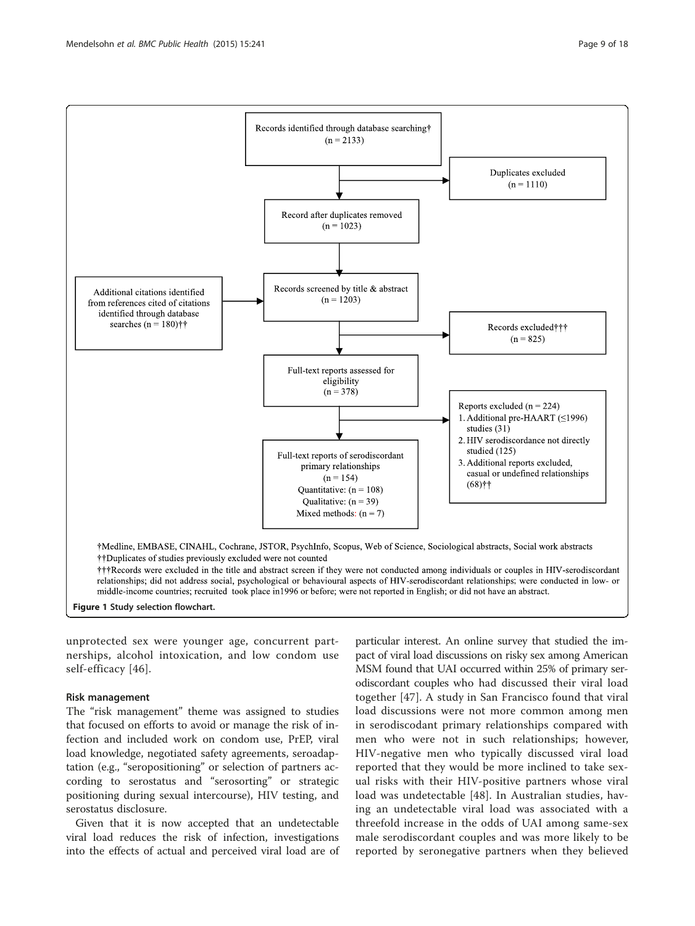<span id="page-8-0"></span>

unprotected sex were younger age, concurrent partnerships, alcohol intoxication, and low condom use self-efficacy [[46](#page-14-0)].

#### Risk management

The "risk management" theme was assigned to studies that focused on efforts to avoid or manage the risk of infection and included work on condom use, PrEP, viral load knowledge, negotiated safety agreements, seroadaptation (e.g., "seropositioning" or selection of partners according to serostatus and "serosorting" or strategic positioning during sexual intercourse), HIV testing, and serostatus disclosure.

Given that it is now accepted that an undetectable viral load reduces the risk of infection, investigations into the effects of actual and perceived viral load are of

particular interest. An online survey that studied the impact of viral load discussions on risky sex among American MSM found that UAI occurred within 25% of primary serodiscordant couples who had discussed their viral load together [[47](#page-14-0)]. A study in San Francisco found that viral load discussions were not more common among men in serodiscodant primary relationships compared with men who were not in such relationships; however, HIV-negative men who typically discussed viral load reported that they would be more inclined to take sexual risks with their HIV-positive partners whose viral load was undetectable [[48](#page-14-0)]. In Australian studies, having an undetectable viral load was associated with a threefold increase in the odds of UAI among same-sex male serodiscordant couples and was more likely to be reported by seronegative partners when they believed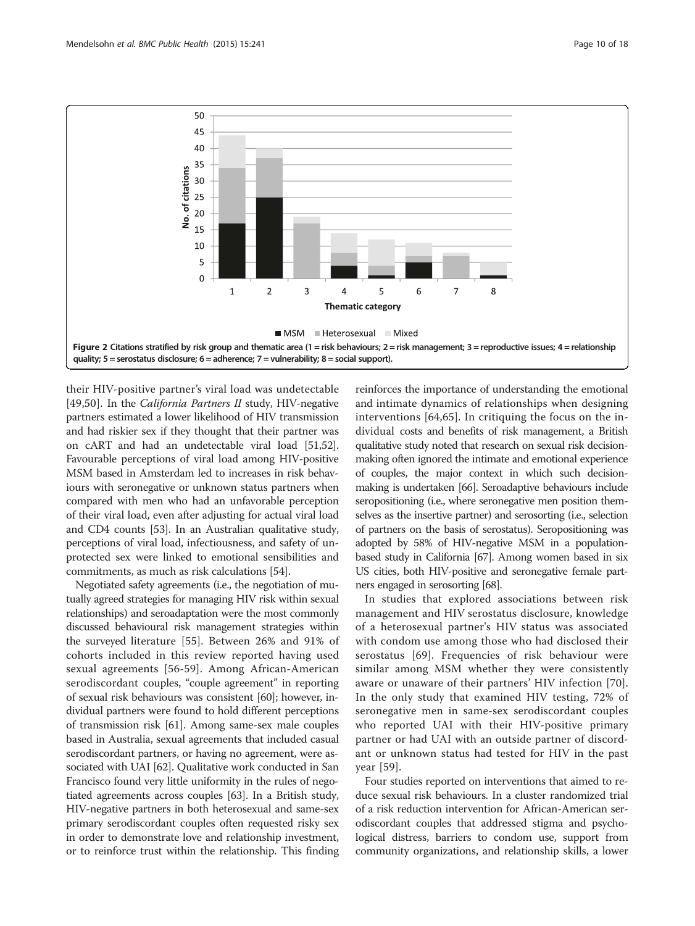<span id="page-9-0"></span>

their HIV-positive partner's viral load was undetectable [[49,50\]](#page-14-0). In the *California Partners II* study, HIV-negative partners estimated a lower likelihood of HIV transmission and had riskier sex if they thought that their partner was on cART and had an undetectable viral load [\[51,52](#page-14-0)]. Favourable perceptions of viral load among HIV-positive MSM based in Amsterdam led to increases in risk behaviours with seronegative or unknown status partners when compared with men who had an unfavorable perception of their viral load, even after adjusting for actual viral load and CD4 counts [[53](#page-14-0)]. In an Australian qualitative study, perceptions of viral load, infectiousness, and safety of unprotected sex were linked to emotional sensibilities and commitments, as much as risk calculations [\[54\]](#page-14-0).

Negotiated safety agreements (i.e., the negotiation of mutually agreed strategies for managing HIV risk within sexual relationships) and seroadaptation were the most commonly discussed behavioural risk management strategies within the surveyed literature [[55\]](#page-15-0). Between 26% and 91% of cohorts included in this review reported having used sexual agreements [[56](#page-15-0)-[59\]](#page-15-0). Among African-American serodiscordant couples, "couple agreement" in reporting of sexual risk behaviours was consistent [\[60\]](#page-15-0); however, individual partners were found to hold different perceptions of transmission risk [\[61](#page-15-0)]. Among same-sex male couples based in Australia, sexual agreements that included casual serodiscordant partners, or having no agreement, were associated with UAI [\[62](#page-15-0)]. Qualitative work conducted in San Francisco found very little uniformity in the rules of negotiated agreements across couples [[63](#page-15-0)]. In a British study, HIV-negative partners in both heterosexual and same-sex primary serodiscordant couples often requested risky sex in order to demonstrate love and relationship investment, or to reinforce trust within the relationship. This finding

reinforces the importance of understanding the emotional and intimate dynamics of relationships when designing interventions [[64,65\]](#page-15-0). In critiquing the focus on the individual costs and benefits of risk management, a British qualitative study noted that research on sexual risk decisionmaking often ignored the intimate and emotional experience of couples, the major context in which such decisionmaking is undertaken [[66](#page-15-0)]. Seroadaptive behaviours include seropositioning (i.e., where seronegative men position themselves as the insertive partner) and serosorting (i.e., selection of partners on the basis of serostatus). Seropositioning was adopted by 58% of HIV-negative MSM in a populationbased study in California [\[67\]](#page-15-0). Among women based in six US cities, both HIV-positive and seronegative female partners engaged in serosorting [\[68](#page-15-0)].

In studies that explored associations between risk management and HIV serostatus disclosure, knowledge of a heterosexual partner's HIV status was associated with condom use among those who had disclosed their serostatus [\[69](#page-15-0)]. Frequencies of risk behaviour were similar among MSM whether they were consistently aware or unaware of their partners' HIV infection [[70](#page-15-0)]. In the only study that examined HIV testing, 72% of seronegative men in same-sex serodiscordant couples who reported UAI with their HIV-positive primary partner or had UAI with an outside partner of discordant or unknown status had tested for HIV in the past year [\[59\]](#page-15-0).

Four studies reported on interventions that aimed to reduce sexual risk behaviours. In a cluster randomized trial of a risk reduction intervention for African-American serodiscordant couples that addressed stigma and psychological distress, barriers to condom use, support from community organizations, and relationship skills, a lower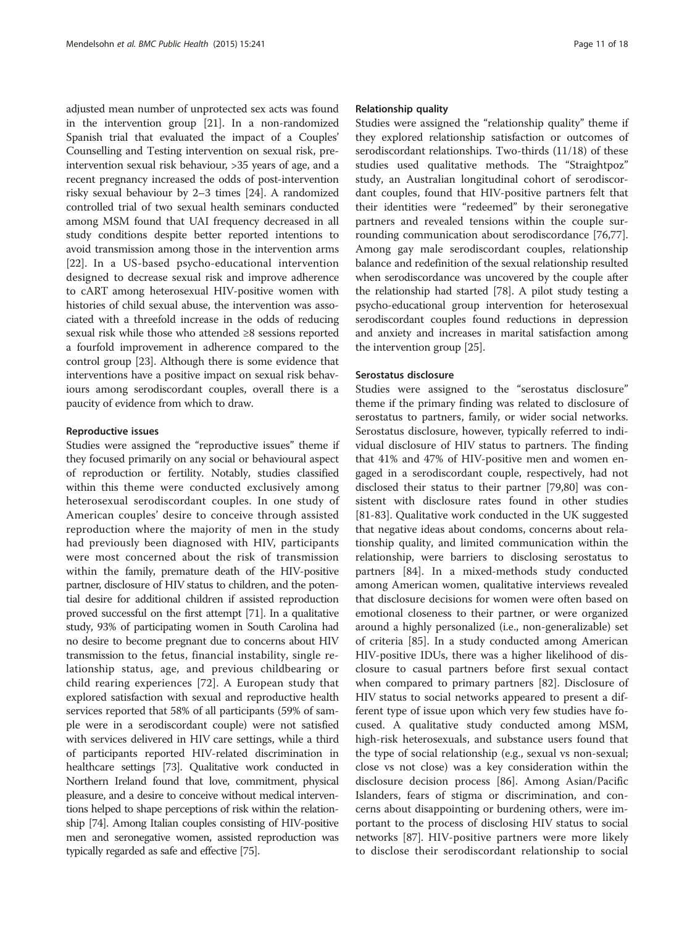adjusted mean number of unprotected sex acts was found in the intervention group [[21](#page-14-0)]. In a non-randomized Spanish trial that evaluated the impact of a Couples' Counselling and Testing intervention on sexual risk, preintervention sexual risk behaviour, >35 years of age, and a recent pregnancy increased the odds of post-intervention risky sexual behaviour by 2–3 times [\[24\]](#page-14-0). A randomized controlled trial of two sexual health seminars conducted among MSM found that UAI frequency decreased in all study conditions despite better reported intentions to avoid transmission among those in the intervention arms [[22](#page-14-0)]. In a US-based psycho-educational intervention designed to decrease sexual risk and improve adherence to cART among heterosexual HIV-positive women with histories of child sexual abuse, the intervention was associated with a threefold increase in the odds of reducing sexual risk while those who attended ≥8 sessions reported a fourfold improvement in adherence compared to the control group [\[23\]](#page-14-0). Although there is some evidence that interventions have a positive impact on sexual risk behaviours among serodiscordant couples, overall there is a paucity of evidence from which to draw.

#### Reproductive issues

Studies were assigned the "reproductive issues" theme if they focused primarily on any social or behavioural aspect of reproduction or fertility. Notably, studies classified within this theme were conducted exclusively among heterosexual serodiscordant couples. In one study of American couples' desire to conceive through assisted reproduction where the majority of men in the study had previously been diagnosed with HIV, participants were most concerned about the risk of transmission within the family, premature death of the HIV-positive partner, disclosure of HIV status to children, and the potential desire for additional children if assisted reproduction proved successful on the first attempt [\[71\]](#page-15-0). In a qualitative study, 93% of participating women in South Carolina had no desire to become pregnant due to concerns about HIV transmission to the fetus, financial instability, single relationship status, age, and previous childbearing or child rearing experiences [[72](#page-15-0)]. A European study that explored satisfaction with sexual and reproductive health services reported that 58% of all participants (59% of sample were in a serodiscordant couple) were not satisfied with services delivered in HIV care settings, while a third of participants reported HIV-related discrimination in healthcare settings [\[73](#page-15-0)]. Qualitative work conducted in Northern Ireland found that love, commitment, physical pleasure, and a desire to conceive without medical interventions helped to shape perceptions of risk within the relationship [\[74](#page-15-0)]. Among Italian couples consisting of HIV-positive men and seronegative women, assisted reproduction was typically regarded as safe and effective [\[75\]](#page-15-0).

#### Relationship quality

Studies were assigned the "relationship quality" theme if they explored relationship satisfaction or outcomes of serodiscordant relationships. Two-thirds (11/18) of these studies used qualitative methods. The "Straightpoz" study, an Australian longitudinal cohort of serodiscordant couples, found that HIV-positive partners felt that their identities were "redeemed" by their seronegative partners and revealed tensions within the couple surrounding communication about serodiscordance [\[76,77](#page-15-0)]. Among gay male serodiscordant couples, relationship balance and redefinition of the sexual relationship resulted when serodiscordance was uncovered by the couple after the relationship had started [[78](#page-15-0)]. A pilot study testing a psycho-educational group intervention for heterosexual serodiscordant couples found reductions in depression and anxiety and increases in marital satisfaction among the intervention group [\[25\]](#page-14-0).

#### Serostatus disclosure

Studies were assigned to the "serostatus disclosure" theme if the primary finding was related to disclosure of serostatus to partners, family, or wider social networks. Serostatus disclosure, however, typically referred to individual disclosure of HIV status to partners. The finding that 41% and 47% of HIV-positive men and women engaged in a serodiscordant couple, respectively, had not disclosed their status to their partner [\[79,80\]](#page-15-0) was consistent with disclosure rates found in other studies [[81-83](#page-15-0)]. Qualitative work conducted in the UK suggested that negative ideas about condoms, concerns about relationship quality, and limited communication within the relationship, were barriers to disclosing serostatus to partners [\[84](#page-15-0)]. In a mixed-methods study conducted among American women, qualitative interviews revealed that disclosure decisions for women were often based on emotional closeness to their partner, or were organized around a highly personalized (i.e., non-generalizable) set of criteria [\[85\]](#page-15-0). In a study conducted among American HIV-positive IDUs, there was a higher likelihood of disclosure to casual partners before first sexual contact when compared to primary partners [[82\]](#page-15-0). Disclosure of HIV status to social networks appeared to present a different type of issue upon which very few studies have focused. A qualitative study conducted among MSM, high-risk heterosexuals, and substance users found that the type of social relationship (e.g., sexual vs non-sexual; close vs not close) was a key consideration within the disclosure decision process [[86\]](#page-15-0). Among Asian/Pacific Islanders, fears of stigma or discrimination, and concerns about disappointing or burdening others, were important to the process of disclosing HIV status to social networks [\[87\]](#page-15-0). HIV-positive partners were more likely to disclose their serodiscordant relationship to social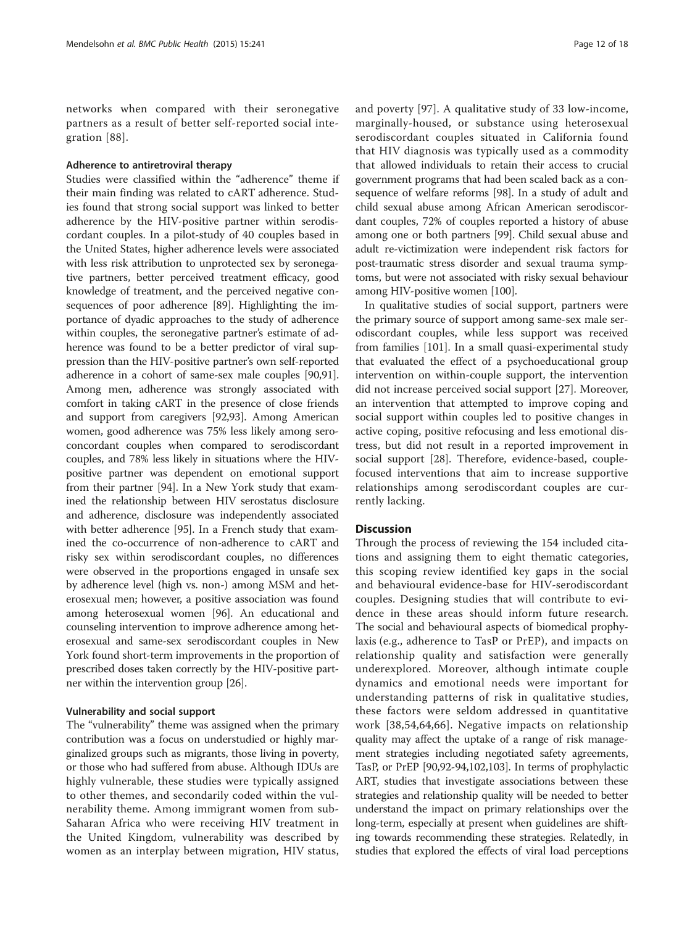networks when compared with their seronegative partners as a result of better self-reported social integration [[88](#page-15-0)].

#### Adherence to antiretroviral therapy

Studies were classified within the "adherence" theme if their main finding was related to cART adherence. Studies found that strong social support was linked to better adherence by the HIV-positive partner within serodiscordant couples. In a pilot-study of 40 couples based in the United States, higher adherence levels were associated with less risk attribution to unprotected sex by seronegative partners, better perceived treatment efficacy, good knowledge of treatment, and the perceived negative consequences of poor adherence [\[89](#page-15-0)]. Highlighting the importance of dyadic approaches to the study of adherence within couples, the seronegative partner's estimate of adherence was found to be a better predictor of viral suppression than the HIV-positive partner's own self-reported adherence in a cohort of same-sex male couples [\[90,91](#page-15-0)]. Among men, adherence was strongly associated with comfort in taking cART in the presence of close friends and support from caregivers [[92,93](#page-15-0)]. Among American women, good adherence was 75% less likely among seroconcordant couples when compared to serodiscordant couples, and 78% less likely in situations where the HIVpositive partner was dependent on emotional support from their partner [[94\]](#page-15-0). In a New York study that examined the relationship between HIV serostatus disclosure and adherence, disclosure was independently associated with better adherence [\[95\]](#page-15-0). In a French study that examined the co-occurrence of non-adherence to cART and risky sex within serodiscordant couples, no differences were observed in the proportions engaged in unsafe sex by adherence level (high vs. non-) among MSM and heterosexual men; however, a positive association was found among heterosexual women [[96](#page-15-0)]. An educational and counseling intervention to improve adherence among heterosexual and same-sex serodiscordant couples in New York found short-term improvements in the proportion of prescribed doses taken correctly by the HIV-positive partner within the intervention group [[26](#page-14-0)].

#### Vulnerability and social support

The "vulnerability" theme was assigned when the primary contribution was a focus on understudied or highly marginalized groups such as migrants, those living in poverty, or those who had suffered from abuse. Although IDUs are highly vulnerable, these studies were typically assigned to other themes, and secondarily coded within the vulnerability theme. Among immigrant women from sub-Saharan Africa who were receiving HIV treatment in the United Kingdom, vulnerability was described by women as an interplay between migration, HIV status, and poverty [[97](#page-15-0)]. A qualitative study of 33 low-income, marginally-housed, or substance using heterosexual serodiscordant couples situated in California found that HIV diagnosis was typically used as a commodity that allowed individuals to retain their access to crucial government programs that had been scaled back as a consequence of welfare reforms [[98](#page-15-0)]. In a study of adult and child sexual abuse among African American serodiscordant couples, 72% of couples reported a history of abuse among one or both partners [[99](#page-15-0)]. Child sexual abuse and adult re-victimization were independent risk factors for post-traumatic stress disorder and sexual trauma symptoms, but were not associated with risky sexual behaviour among HIV-positive women [[100](#page-15-0)].

In qualitative studies of social support, partners were the primary source of support among same-sex male serodiscordant couples, while less support was received from families [\[101\]](#page-15-0). In a small quasi-experimental study that evaluated the effect of a psychoeducational group intervention on within-couple support, the intervention did not increase perceived social support [[27\]](#page-14-0). Moreover, an intervention that attempted to improve coping and social support within couples led to positive changes in active coping, positive refocusing and less emotional distress, but did not result in a reported improvement in social support [[28\]](#page-14-0). Therefore, evidence-based, couplefocused interventions that aim to increase supportive relationships among serodiscordant couples are currently lacking.

#### **Discussion**

Through the process of reviewing the 154 included citations and assigning them to eight thematic categories, this scoping review identified key gaps in the social and behavioural evidence-base for HIV-serodiscordant couples. Designing studies that will contribute to evidence in these areas should inform future research. The social and behavioural aspects of biomedical prophylaxis (e.g., adherence to TasP or PrEP), and impacts on relationship quality and satisfaction were generally underexplored. Moreover, although intimate couple dynamics and emotional needs were important for understanding patterns of risk in qualitative studies, these factors were seldom addressed in quantitative work [[38](#page-14-0),[54](#page-14-0)[,64,66](#page-15-0)]. Negative impacts on relationship quality may affect the uptake of a range of risk management strategies including negotiated safety agreements, TasP, or PrEP [\[90,92-94,102,103\]](#page-15-0). In terms of prophylactic ART, studies that investigate associations between these strategies and relationship quality will be needed to better understand the impact on primary relationships over the long-term, especially at present when guidelines are shifting towards recommending these strategies. Relatedly, in studies that explored the effects of viral load perceptions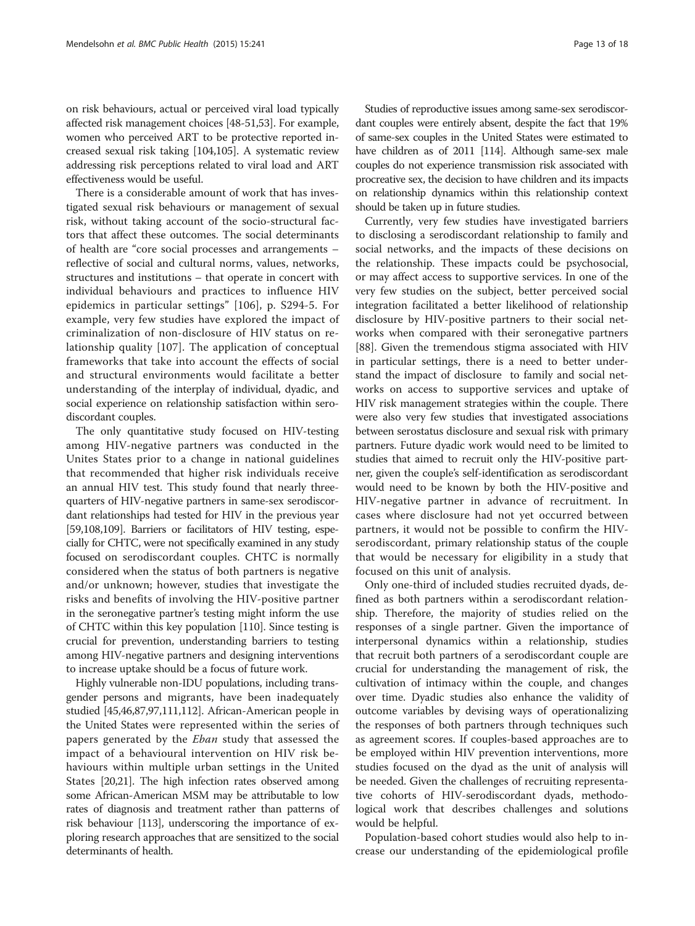on risk behaviours, actual or perceived viral load typically affected risk management choices [[48](#page-14-0)-[51,53](#page-14-0)]. For example, women who perceived ART to be protective reported increased sexual risk taking [[104](#page-15-0)[,105\]](#page-16-0). A systematic review addressing risk perceptions related to viral load and ART effectiveness would be useful.

There is a considerable amount of work that has investigated sexual risk behaviours or management of sexual risk, without taking account of the socio-structural factors that affect these outcomes. The social determinants of health are "core social processes and arrangements – reflective of social and cultural norms, values, networks, structures and institutions – that operate in concert with individual behaviours and practices to influence HIV epidemics in particular settings" [[106](#page-16-0)], p. S294-5. For example, very few studies have explored the impact of criminalization of non-disclosure of HIV status on relationship quality [[107\]](#page-16-0). The application of conceptual frameworks that take into account the effects of social and structural environments would facilitate a better understanding of the interplay of individual, dyadic, and social experience on relationship satisfaction within serodiscordant couples.

The only quantitative study focused on HIV-testing among HIV-negative partners was conducted in the Unites States prior to a change in national guidelines that recommended that higher risk individuals receive an annual HIV test. This study found that nearly threequarters of HIV-negative partners in same-sex serodiscordant relationships had tested for HIV in the previous year [[59](#page-15-0)[,108,109](#page-16-0)]. Barriers or facilitators of HIV testing, especially for CHTC, were not specifically examined in any study focused on serodiscordant couples. CHTC is normally considered when the status of both partners is negative and/or unknown; however, studies that investigate the risks and benefits of involving the HIV-positive partner in the seronegative partner's testing might inform the use of CHTC within this key population [\[110\]](#page-16-0). Since testing is crucial for prevention, understanding barriers to testing among HIV-negative partners and designing interventions to increase uptake should be a focus of future work.

Highly vulnerable non-IDU populations, including transgender persons and migrants, have been inadequately studied [[45](#page-14-0),[46](#page-14-0)[,87,97,](#page-15-0)[111,112\]](#page-16-0). African-American people in the United States were represented within the series of papers generated by the *Eban* study that assessed the impact of a behavioural intervention on HIV risk behaviours within multiple urban settings in the United States [\[20,21](#page-14-0)]. The high infection rates observed among some African-American MSM may be attributable to low rates of diagnosis and treatment rather than patterns of risk behaviour [\[113](#page-16-0)], underscoring the importance of exploring research approaches that are sensitized to the social determinants of health.

Studies of reproductive issues among same-sex serodiscordant couples were entirely absent, despite the fact that 19% of same-sex couples in the United States were estimated to have children as of 2011 [[114\]](#page-16-0). Although same-sex male couples do not experience transmission risk associated with procreative sex, the decision to have children and its impacts on relationship dynamics within this relationship context should be taken up in future studies.

Currently, very few studies have investigated barriers to disclosing a serodiscordant relationship to family and social networks, and the impacts of these decisions on the relationship. These impacts could be psychosocial, or may affect access to supportive services. In one of the very few studies on the subject, better perceived social integration facilitated a better likelihood of relationship disclosure by HIV-positive partners to their social networks when compared with their seronegative partners [[88\]](#page-15-0). Given the tremendous stigma associated with HIV in particular settings, there is a need to better understand the impact of disclosure to family and social networks on access to supportive services and uptake of HIV risk management strategies within the couple. There were also very few studies that investigated associations between serostatus disclosure and sexual risk with primary partners. Future dyadic work would need to be limited to studies that aimed to recruit only the HIV-positive partner, given the couple's self-identification as serodiscordant would need to be known by both the HIV-positive and HIV-negative partner in advance of recruitment. In cases where disclosure had not yet occurred between partners, it would not be possible to confirm the HIVserodiscordant, primary relationship status of the couple that would be necessary for eligibility in a study that focused on this unit of analysis.

Only one-third of included studies recruited dyads, defined as both partners within a serodiscordant relationship. Therefore, the majority of studies relied on the responses of a single partner. Given the importance of interpersonal dynamics within a relationship, studies that recruit both partners of a serodiscordant couple are crucial for understanding the management of risk, the cultivation of intimacy within the couple, and changes over time. Dyadic studies also enhance the validity of outcome variables by devising ways of operationalizing the responses of both partners through techniques such as agreement scores. If couples-based approaches are to be employed within HIV prevention interventions, more studies focused on the dyad as the unit of analysis will be needed. Given the challenges of recruiting representative cohorts of HIV-serodiscordant dyads, methodological work that describes challenges and solutions would be helpful.

Population-based cohort studies would also help to increase our understanding of the epidemiological profile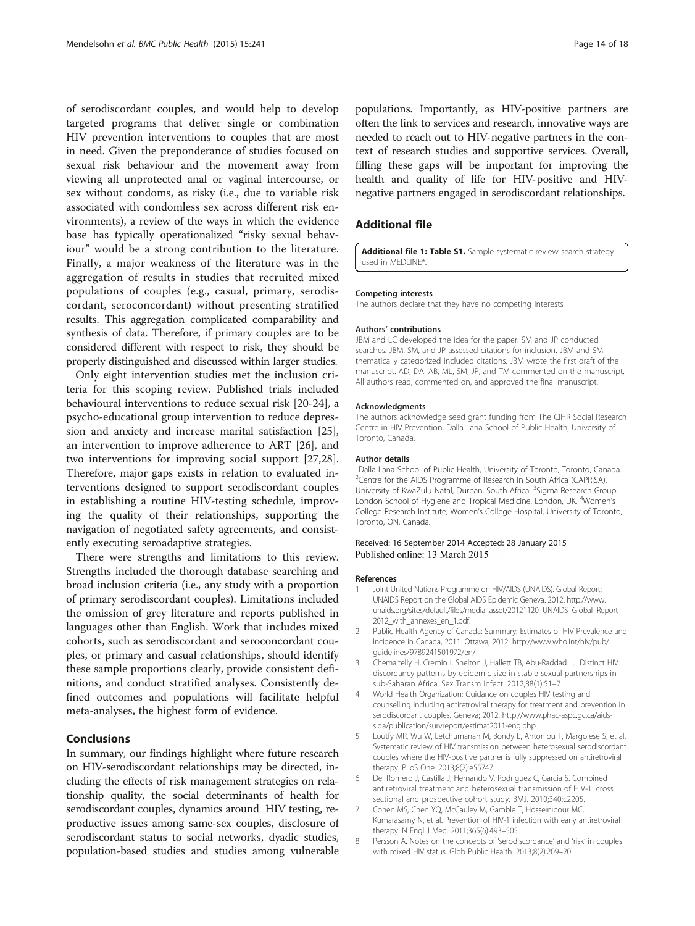<span id="page-13-0"></span>of serodiscordant couples, and would help to develop targeted programs that deliver single or combination HIV prevention interventions to couples that are most in need. Given the preponderance of studies focused on sexual risk behaviour and the movement away from viewing all unprotected anal or vaginal intercourse, or sex without condoms, as risky (i.e., due to variable risk associated with condomless sex across different risk environments), a review of the ways in which the evidence base has typically operationalized "risky sexual behaviour" would be a strong contribution to the literature. Finally, a major weakness of the literature was in the aggregation of results in studies that recruited mixed populations of couples (e.g., casual, primary, serodiscordant, seroconcordant) without presenting stratified results. This aggregation complicated comparability and synthesis of data. Therefore, if primary couples are to be considered different with respect to risk, they should be properly distinguished and discussed within larger studies.

Only eight intervention studies met the inclusion criteria for this scoping review. Published trials included behavioural interventions to reduce sexual risk [[20-24\]](#page-14-0), a psycho-educational group intervention to reduce depression and anxiety and increase marital satisfaction [\[25](#page-14-0)], an intervention to improve adherence to ART [[26\]](#page-14-0), and two interventions for improving social support [\[27,28](#page-14-0)]. Therefore, major gaps exists in relation to evaluated interventions designed to support serodiscordant couples in establishing a routine HIV-testing schedule, improving the quality of their relationships, supporting the navigation of negotiated safety agreements, and consistently executing seroadaptive strategies.

There were strengths and limitations to this review. Strengths included the thorough database searching and broad inclusion criteria (i.e., any study with a proportion of primary serodiscordant couples). Limitations included the omission of grey literature and reports published in languages other than English. Work that includes mixed cohorts, such as serodiscordant and seroconcordant couples, or primary and casual relationships, should identify these sample proportions clearly, provide consistent definitions, and conduct stratified analyses. Consistently defined outcomes and populations will facilitate helpful meta-analyses, the highest form of evidence.

#### Conclusions

In summary, our findings highlight where future research on HIV-serodiscordant relationships may be directed, including the effects of risk management strategies on relationship quality, the social determinants of health for serodiscordant couples, dynamics around HIV testing, reproductive issues among same-sex couples, disclosure of serodiscordant status to social networks, dyadic studies, population-based studies and studies among vulnerable populations. Importantly, as HIV-positive partners are often the link to services and research, innovative ways are needed to reach out to HIV-negative partners in the context of research studies and supportive services. Overall, filling these gaps will be important for improving the health and quality of life for HIV-positive and HIVnegative partners engaged in serodiscordant relationships.

#### Additional file

[Additional file 1: Table S1.](http://www.biomedcentral.com/content/supplementary/s12889-015-1488-9-s1.doc) Sample systematic review search strategy used in MEDLINE\*

#### Competing interests

The authors declare that they have no competing interests

#### Authors' contributions

JBM and LC developed the idea for the paper. SM and JP conducted searches. JBM, SM, and JP assessed citations for inclusion. JBM and SM thematically categorized included citations. JBM wrote the first draft of the manuscript. AD, DA, AB, ML, SM, JP, and TM commented on the manuscript. All authors read, commented on, and approved the final manuscript.

#### Acknowledgments

The authors acknowledge seed grant funding from The CIHR Social Research Centre in HIV Prevention, Dalla Lana School of Public Health, University of Toronto, Canada.

#### Author details

<sup>1</sup>Dalla Lana School of Public Health, University of Toronto, Toronto, Canada. <sup>2</sup> Centre for the AIDS Programme of Research in South Africa (CAPRISA), University of KwaZulu Natal, Durban, South Africa. <sup>3</sup>Sigma Research Group, London School of Hygiene and Tropical Medicine, London, UK. <sup>4</sup>Women's College Research Institute, Women's College Hospital, University of Toronto, Toronto, ON, Canada.

#### Received: 16 September 2014 Accepted: 28 January 2015 Published online: 13 March 2015

#### References

- 1. Joint United Nations Programme on HIV/AIDS (UNAIDS). Global Report: UNAIDS Report on the Global AIDS Epidemic Geneva. 2012. [http://www.](http://www.unaids.org/sites/default/files/media_asset/20121120_UNAIDS_Global_Report_2012_with_annexes_en_1.pdf) [unaids.org/sites/default/files/media\\_asset/20121120\\_UNAIDS\\_Global\\_Report\\_](http://www.unaids.org/sites/default/files/media_asset/20121120_UNAIDS_Global_Report_2012_with_annexes_en_1.pdf) [2012\\_with\\_annexes\\_en\\_1.pdf](http://www.unaids.org/sites/default/files/media_asset/20121120_UNAIDS_Global_Report_2012_with_annexes_en_1.pdf).
- 2. Public Health Agency of Canada: Summary: Estimates of HIV Prevalence and Incidence in Canada, 2011. Ottawa; 2012. [http://www.who.int/hiv/pub/](http://www.who.int/hiv/pub/guidelines/9789241501972/en/) [guidelines/9789241501972/en/](http://www.who.int/hiv/pub/guidelines/9789241501972/en/)
- 3. Chemaitelly H, Cremin I, Shelton J, Hallett TB, Abu-Raddad LJ. Distinct HIV discordancy patterns by epidemic size in stable sexual partnerships in sub-Saharan Africa. Sex Transm Infect. 2012;88(1):51–7.
- 4. World Health Organization: Guidance on couples HIV testing and counselling including antiretroviral therapy for treatment and prevention in serodiscordant couples. Geneva; 2012. [http://www.phac-aspc.gc.ca/aids](http://www.phac-aspc.gc.ca/aids-sida/publication/survreport/estimat2011-eng.php)[sida/publication/survreport/estimat2011-eng.php](http://www.phac-aspc.gc.ca/aids-sida/publication/survreport/estimat2011-eng.php)
- 5. Loutfy MR, Wu W, Letchumanan M, Bondy L, Antoniou T, Margolese S, et al. Systematic review of HIV transmission between heterosexual serodiscordant couples where the HIV-positive partner is fully suppressed on antiretroviral therapy. PLoS One. 2013;8(2):e55747.
- 6. Del Romero J, Castilla J, Hernando V, Rodriguez C, Garcia S. Combined antiretroviral treatment and heterosexual transmission of HIV-1: cross sectional and prospective cohort study. BMJ. 2010;340:c2205.
- 7. Cohen MS, Chen YQ, McCauley M, Gamble T, Hosseinipour MC, Kumarasamy N, et al. Prevention of HIV-1 infection with early antiretroviral therapy. N Engl J Med. 2011;365(6):493–505.
- 8. Persson A. Notes on the concepts of 'serodiscordance' and 'risk' in couples with mixed HIV status. Glob Public Health. 2013;8(2):209–20.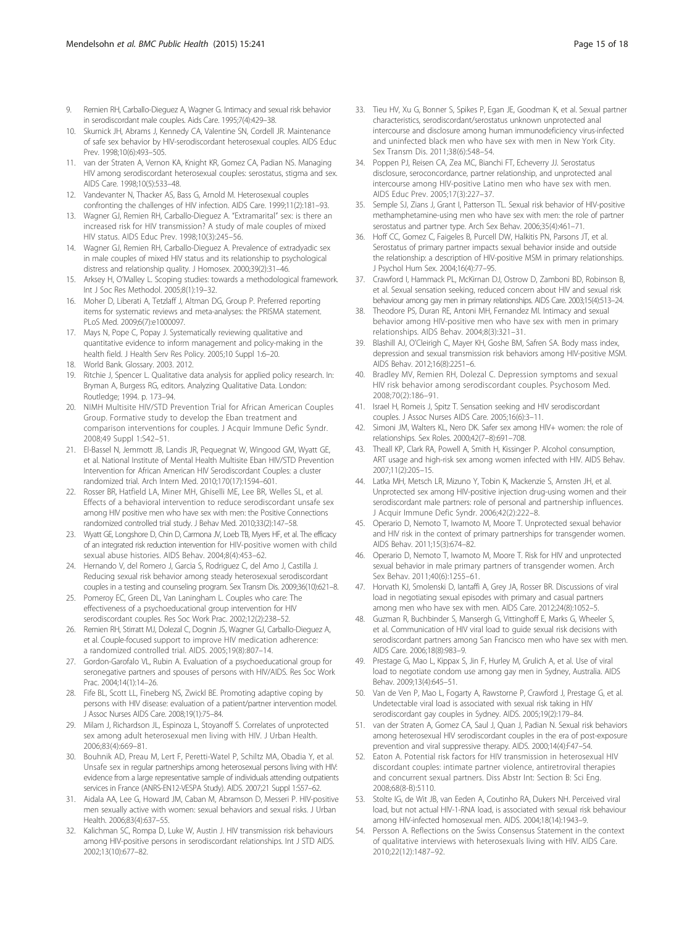- <span id="page-14-0"></span>9. Remien RH, Carballo-Dieguez A, Wagner G. Intimacy and sexual risk behavior in serodiscordant male couples. Aids Care. 1995;7(4):429–38.
- 10. Skurnick JH, Abrams J, Kennedy CA, Valentine SN, Cordell JR. Maintenance of safe sex behavior by HIV-serodiscordant heterosexual couples. AIDS Educ Prev. 1998;10(6):493–505.
- 11. van der Straten A, Vernon KA, Knight KR, Gomez CA, Padian NS. Managing HIV among serodiscordant heterosexual couples: serostatus, stigma and sex. AIDS Care. 1998;10(5):533–48.
- 12. Vandevanter N, Thacker AS, Bass G, Arnold M. Heterosexual couples confronting the challenges of HIV infection. AIDS Care. 1999;11(2):181–93.
- 13. Wagner GJ, Remien RH, Carballo-Dieguez A. "Extramarital" sex: is there an increased risk for HIV transmission? A study of male couples of mixed HIV status. AIDS Educ Prev. 1998;10(3):245–56.
- 14. Wagner GJ, Remien RH, Carballo-Dieguez A. Prevalence of extradyadic sex in male couples of mixed HIV status and its relationship to psychological distress and relationship quality. J Homosex. 2000;39(2):31–46.
- 15. Arksey H, O'Malley L. Scoping studies: towards a methodological framework. Int J Soc Res Methodol. 2005;8(1):19–32.
- 16. Moher D, Liberati A, Tetzlaff J, Altman DG, Group P. Preferred reporting items for systematic reviews and meta-analyses: the PRISMA statement. PLoS Med. 2009;6(7):e1000097.
- 17. Mays N, Pope C, Popay J. Systematically reviewing qualitative and quantitative evidence to inform management and policy-making in the health field. J Health Serv Res Policy. 2005;10 Suppl 1:6–20.
- 18. World Bank. Glossary. 2003. 2012.
- 19. Ritchie J, Spencer L. Qualitative data analysis for applied policy research. In: Bryman A, Burgess RG, editors. Analyzing Qualitative Data. London: Routledge; 1994. p. 173–94.
- 20. NIMH Multisite HIV/STD Prevention Trial for African American Couples Group. Formative study to develop the Eban treatment and comparison interventions for couples. J Acquir Immune Defic Syndr. 2008;49 Suppl 1:S42–51.
- 21. El-Bassel N, Jemmott JB, Landis JR, Pequegnat W, Wingood GM, Wyatt GE, et al. National Institute of Mental Health Multisite Eban HIV/STD Prevention Intervention for African American HIV Serodiscordant Couples: a cluster randomized trial. Arch Intern Med. 2010;170(17):1594–601.
- 22. Rosser BR, Hatfield LA, Miner MH, Ghiselli ME, Lee BR, Welles SL, et al. Effects of a behavioral intervention to reduce serodiscordant unsafe sex among HIV positive men who have sex with men: the Positive Connections randomized controlled trial study. J Behav Med. 2010;33(2):147–58.
- 23. Wyatt GE, Longshore D, Chin D, Carmona JV, Loeb TB, Myers HF, et al. The efficacy of an integrated risk reduction intervention for HIV-positive women with child sexual abuse histories. AIDS Behav. 2004;8(4):453–62.
- 24. Hernando V, del Romero J, Garcia S, Rodriguez C, del Amo J, Castilla J. Reducing sexual risk behavior among steady heterosexual serodiscordant couples in a testing and counseling program. Sex Transm Dis. 2009;36(10):621–8.
- 25. Pomeroy EC, Green DL, Van Laningham L. Couples who care: The effectiveness of a psychoeducational group intervention for HIV serodiscordant couples. Res Soc Work Prac. 2002;12(2):238–52.
- 26. Remien RH, Stirratt MJ, Dolezal C, Dognin JS, Wagner GJ, Carballo-Dieguez A, et al. Couple-focused support to improve HIV medication adherence: a randomized controlled trial. AIDS. 2005;19(8):807–14.
- 27. Gordon-Garofalo VL, Rubin A. Evaluation of a psychoeducational group for seronegative partners and spouses of persons with HIV/AIDS. Res Soc Work Prac. 2004;14(1):14–26.
- 28. Fife BL, Scott LL, Fineberg NS, Zwickl BE. Promoting adaptive coping by persons with HIV disease: evaluation of a patient/partner intervention model. J Assoc Nurses AIDS Care. 2008;19(1):75–84.
- 29. Milam J, Richardson JL, Espinoza L, Stoyanoff S. Correlates of unprotected sex among adult heterosexual men living with HIV. J Urban Health. 2006;83(4):669–81.
- 30. Bouhnik AD, Preau M, Lert F, Peretti-Watel P, Schiltz MA, Obadia Y, et al. Unsafe sex in regular partnerships among heterosexual persons living with HIV: evidence from a large representative sample of individuals attending outpatients services in France (ANRS-EN12-VESPA Study). AIDS. 2007;21 Suppl 1:S57–62.
- 31. Aidala AA, Lee G, Howard JM, Caban M, Abramson D, Messeri P. HIV-positive men sexually active with women: sexual behaviors and sexual risks. J Urban Health. 2006;83(4):637–55.
- 32. Kalichman SC, Rompa D, Luke W, Austin J. HIV transmission risk behaviours among HIV-positive persons in serodiscordant relationships. Int J STD AIDS. 2002;13(10):677–82.
- 33. Tieu HV, Xu G, Bonner S, Spikes P, Egan JE, Goodman K, et al. Sexual partner characteristics, serodiscordant/serostatus unknown unprotected anal intercourse and disclosure among human immunodeficiency virus-infected and uninfected black men who have sex with men in New York City. Sex Transm Dis. 2011;38(6):548–54.
- 34. Poppen PJ, Reisen CA, Zea MC, Bianchi FT, Echeverry JJ. Serostatus disclosure, seroconcordance, partner relationship, and unprotected anal intercourse among HIV-positive Latino men who have sex with men. AIDS Educ Prev. 2005;17(3):227–37.
- 35. Semple SJ, Zians J, Grant I, Patterson TL. Sexual risk behavior of HIV-positive methamphetamine-using men who have sex with men: the role of partner serostatus and partner type. Arch Sex Behav. 2006;35(4):461–71.
- 36. Hoff CC, Gomez C, Faigeles B, Purcell DW, Halkitis PN, Parsons JT, et al. Serostatus of primary partner impacts sexual behavior inside and outside the relationship: a description of HIV-positive MSM in primary relationships. J Psychol Hum Sex. 2004;16(4):77–95.
- 37. Crawford I, Hammack PL, McKirnan DJ, Ostrow D, Zamboni BD, Robinson B, et al. Sexual sensation seeking, reduced concern about HIV and sexual risk behaviour among gay men in primary relationships. AIDS Care. 2003;15(4):513–24.
- 38. Theodore PS, Duran RE, Antoni MH, Fernandez MI. Intimacy and sexual behavior among HIV-positive men who have sex with men in primary relationships. AIDS Behav. 2004;8(3):321–31.
- 39. Blashill AJ, O'Cleirigh C, Mayer KH, Goshe BM, Safren SA. Body mass index, depression and sexual transmission risk behaviors among HIV-positive MSM. AIDS Behav. 2012;16(8):2251–6.
- 40. Bradley MV, Remien RH, Dolezal C. Depression symptoms and sexual HIV risk behavior among serodiscordant couples. Psychosom Med. 2008;70(2):186–91.
- 41. Israel H, Romeis J, Spitz T. Sensation seeking and HIV serodiscordant couples. J Assoc Nurses AIDS Care. 2005;16(6):3–11.
- 42. Simoni JM, Walters KL, Nero DK. Safer sex among HIV+ women: the role of relationships. Sex Roles. 2000;42(7–8):691–708.
- 43. Theall KP, Clark RA, Powell A, Smith H, Kissinger P. Alcohol consumption, ART usage and high-risk sex among women infected with HIV. AIDS Behav. 2007;11(2):205–15.
- 44. Latka MH, Metsch LR, Mizuno Y, Tobin K, Mackenzie S, Arnsten JH, et al. Unprotected sex among HIV-positive injection drug-using women and their serodiscordant male partners: role of personal and partnership influences. J Acquir Immune Defic Syndr. 2006;42(2):222–8.
- 45. Operario D, Nemoto T, Iwamoto M, Moore T. Unprotected sexual behavior and HIV risk in the context of primary partnerships for transgender women. AIDS Behav. 2011;15(3):674–82.
- 46. Operario D, Nemoto T, Iwamoto M, Moore T. Risk for HIV and unprotected sexual behavior in male primary partners of transgender women. Arch Sex Behav. 2011;40(6):1255–61.
- 47. Horvath KJ, Smolenski D, Iantaffi A, Grey JA, Rosser BR. Discussions of viral load in negotiating sexual episodes with primary and casual partners among men who have sex with men. AIDS Care. 2012;24(8):1052–5.
- 48. Guzman R, Buchbinder S, Mansergh G, Vittinghoff E, Marks G, Wheeler S, et al. Communication of HIV viral load to guide sexual risk decisions with serodiscordant partners among San Francisco men who have sex with men. AIDS Care. 2006;18(8):983–9.
- 49. Prestage G, Mao L, Kippax S, Jin F, Hurley M, Grulich A, et al. Use of viral load to negotiate condom use among gay men in Sydney, Australia. AIDS Behav. 2009;13(4):645–51.
- 50. Van de Ven P, Mao L, Fogarty A, Rawstorne P, Crawford J, Prestage G, et al. Undetectable viral load is associated with sexual risk taking in HIV serodiscordant gay couples in Sydney. AIDS. 2005;19(2):179–84.
- 51. van der Straten A, Gomez CA, Saul J, Quan J, Padian N. Sexual risk behaviors among heterosexual HIV serodiscordant couples in the era of post-exposure prevention and viral suppressive therapy. AIDS. 2000;14(4):F47–54.
- 52. Eaton A. Potential risk factors for HIV transmission in heterosexual HIV discordant couples: intimate partner violence, antiretroviral therapies and concurrent sexual partners. Diss Abstr Int: Section B: Sci Eng. 2008;68(8-B):5110.
- 53. Stolte IG, de Wit JB, van Eeden A, Coutinho RA, Dukers NH. Perceived viral load, but not actual HIV-1-RNA load, is associated with sexual risk behaviour among HIV-infected homosexual men. AIDS. 2004;18(14):1943–9.
- 54. Persson A. Reflections on the Swiss Consensus Statement in the context of qualitative interviews with heterosexuals living with HIV. AIDS Care. 2010;22(12):1487–92.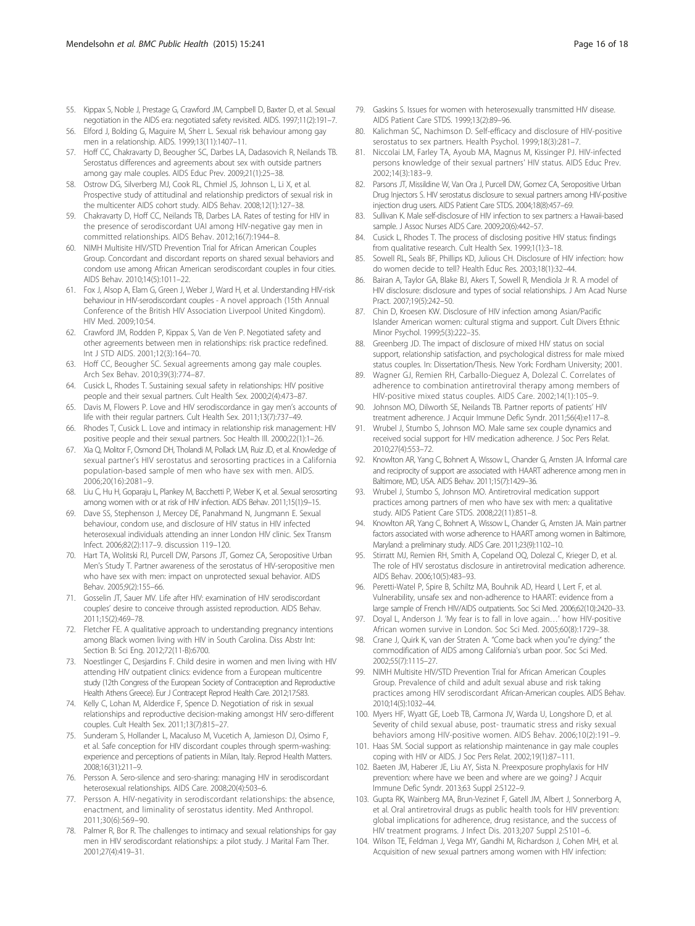- <span id="page-15-0"></span>55. Kippax S, Noble J, Prestage G, Crawford JM, Campbell D, Baxter D, et al. Sexual negotiation in the AIDS era: negotiated safety revisited. AIDS. 1997;11(2):191–7.
- 56. Elford J, Bolding G, Maguire M, Sherr L. Sexual risk behaviour among gay men in a relationship. AIDS. 1999;13(11):1407–11.
- 57. Hoff CC, Chakravarty D, Beougher SC, Darbes LA, Dadasovich R, Neilands TB. Serostatus differences and agreements about sex with outside partners among gay male couples. AIDS Educ Prev. 2009;21(1):25–38.
- 58. Ostrow DG, Silverberg MJ, Cook RL, Chmiel JS, Johnson L, Li X, et al. Prospective study of attitudinal and relationship predictors of sexual risk in the multicenter AIDS cohort study. AIDS Behav. 2008;12(1):127–38.
- 59. Chakravarty D, Hoff CC, Neilands TB, Darbes LA. Rates of testing for HIV in the presence of serodiscordant UAI among HIV-negative gay men in committed relationships. AIDS Behav. 2012;16(7):1944–8.
- 60. NIMH Multisite HIV/STD Prevention Trial for African American Couples Group. Concordant and discordant reports on shared sexual behaviors and condom use among African American serodiscordant couples in four cities. AIDS Behav. 2010;14(5):1011–22.
- 61. Fox J, Alsop A, Elam G, Green J, Weber J, Ward H, et al. Understanding HIV-risk behaviour in HIV-serodiscordant couples - A novel approach (15th Annual Conference of the British HIV Association Liverpool United Kingdom). HIV Med. 2009;10:54.
- 62. Crawford JM, Rodden P, Kippax S, Van de Ven P. Negotiated safety and other agreements between men in relationships: risk practice redefined. Int J STD AIDS. 2001;12(3):164–70.
- 63. Hoff CC, Beougher SC. Sexual agreements among gay male couples. Arch Sex Behav. 2010;39(3):774–87.
- 64. Cusick L, Rhodes T. Sustaining sexual safety in relationships: HIV positive people and their sexual partners. Cult Health Sex. 2000;2(4):473–87.
- 65. Davis M, Flowers P. Love and HIV serodiscordance in gay men's accounts of life with their regular partners. Cult Health Sex. 2011;13(7):737–49.
- 66. Rhodes T, Cusick L. Love and intimacy in relationship risk management: HIV positive people and their sexual partners. Soc Health Ill. 2000;22(1):1–26.
- 67. Xia Q, Molitor F, Osmond DH, Tholandi M, Pollack LM, Ruiz JD, et al. Knowledge of sexual partner's HIV serostatus and serosorting practices in a California population-based sample of men who have sex with men. AIDS. 2006;20(16):2081–9.
- 68. Liu C, Hu H, Goparaju L, Plankey M, Bacchetti P, Weber K, et al. Sexual serosorting among women with or at risk of HIV infection. AIDS Behav. 2011;15(1):9–15.
- 69. Dave SS, Stephenson J, Mercey DE, Panahmand N, Jungmann E. Sexual behaviour, condom use, and disclosure of HIV status in HIV infected heterosexual individuals attending an inner London HIV clinic. Sex Transm Infect. 2006;82(2):117–9. discussion 119–120.
- 70. Hart TA, Wolitski RJ, Purcell DW, Parsons JT, Gomez CA, Seropositive Urban Men's Study T. Partner awareness of the serostatus of HIV-seropositive men who have sex with men: impact on unprotected sexual behavior. AIDS Behav. 2005;9(2):155–66.
- 71. Gosselin JT, Sauer MV. Life after HIV: examination of HIV serodiscordant couples' desire to conceive through assisted reproduction. AIDS Behav. 2011;15(2):469–78.
- 72. Fletcher FE. A qualitative approach to understanding pregnancy intentions among Black women living with HIV in South Carolina. Diss Abstr Int: Section B: Sci Eng. 2012;72(11-B):6700.
- 73. Noestlinger C, Desjardins F. Child desire in women and men living with HIV attending HIV outpatient clinics: evidence from a European multicentre study (12th Congress of the European Society of Contraception and Reproductive Health Athens Greece). Eur J Contracept Reprod Health Care. 2012;17:S83.
- 74. Kelly C, Lohan M, Alderdice F, Spence D. Negotiation of risk in sexual relationships and reproductive decision-making amongst HIV sero-different couples. Cult Health Sex. 2011;13(7):815–27.
- 75. Sunderam S, Hollander L, Macaluso M, Vucetich A, Jamieson DJ, Osimo F, et al. Safe conception for HIV discordant couples through sperm-washing: experience and perceptions of patients in Milan, Italy. Reprod Health Matters. 2008;16(31):211–9.
- 76. Persson A. Sero-silence and sero-sharing: managing HIV in serodiscordant heterosexual relationships. AIDS Care. 2008;20(4):503–6.
- 77. Persson A. HIV-negativity in serodiscordant relationships: the absence, enactment, and liminality of serostatus identity. Med Anthropol. 2011;30(6):569–90.
- 78. Palmer R, Bor R. The challenges to intimacy and sexual relationships for gay men in HIV serodiscordant relationships: a pilot study. J Marital Fam Ther. 2001;27(4):419–31.
- 79. Gaskins S. Issues for women with heterosexually transmitted HIV disease. AIDS Patient Care STDS. 1999;13(2):89–96.
- 80. Kalichman SC, Nachimson D. Self-efficacy and disclosure of HIV-positive serostatus to sex partners. Health Psychol. 1999;18(3):281-7
- 81. Niccolai LM, Farley TA, Ayoub MA, Magnus M, Kissinger PJ. HIV-infected persons knowledge of their sexual partners' HIV status. AIDS Educ Prev. 2002;14(3):183–9.
- 82. Parsons JT, Missildine W, Van Ora J, Purcell DW, Gomez CA, Seropositive Urban Drug Injectors S. HIV serostatus disclosure to sexual partners among HIV-positive injection drug users. AIDS Patient Care STDS. 2004;18(8):457–69.
- Sullivan K. Male self-disclosure of HIV infection to sex partners: a Hawaii-based sample. J Assoc Nurses AIDS Care. 2009;20(6):442–57.
- 84. Cusick L, Rhodes T. The process of disclosing positive HIV status: findings from qualitative research. Cult Health Sex. 1999;1(1):3–18.
- 85. Sowell RL, Seals BF, Phillips KD, Julious CH. Disclosure of HIV infection: how do women decide to tell? Health Educ Res. 2003;18(1):32–44.
- 86. Bairan A, Taylor GA, Blake BJ, Akers T, Sowell R, Mendiola Jr R. A model of HIV disclosure: disclosure and types of social relationships. J Am Acad Nurse Pract. 2007;19(5):242–50.
- 87. Chin D, Kroesen KW. Disclosure of HIV infection among Asian/Pacific Islander American women: cultural stigma and support. Cult Divers Ethnic Minor Psychol. 1999;5(3):222–35.
- 88. Greenberg JD. The impact of disclosure of mixed HIV status on social support, relationship satisfaction, and psychological distress for male mixed status couples. In: Dissertation/Thesis. New York: Fordham University; 2001.
- 89. Wagner GJ, Remien RH, Carballo-Dieguez A, Dolezal C. Correlates of adherence to combination antiretroviral therapy among members of HIV-positive mixed status couples. AIDS Care. 2002;14(1):105–9.
- 90. Johnson MO, Dilworth SE, Neilands TB. Partner reports of patients' HIV treatment adherence. J Acquir Immune Defic Syndr. 2011;56(4):e117–8.
- 91. Wrubel J, Stumbo S, Johnson MO. Male same sex couple dynamics and received social support for HIV medication adherence. J Soc Pers Relat. 2010;27(4):553–72.
- 92. Knowlton AR, Yang C, Bohnert A, Wissow L, Chander G, Arnsten JA. Informal care and reciprocity of support are associated with HAART adherence among men in Baltimore, MD, USA. AIDS Behav. 2011;15(7):1429–36.
- 93. Wrubel J, Stumbo S, Johnson MO. Antiretroviral medication support practices among partners of men who have sex with men: a qualitative study. AIDS Patient Care STDS. 2008;22(11):851–8.
- 94. Knowlton AR, Yang C, Bohnert A, Wissow L, Chander G, Arnsten JA. Main partner factors associated with worse adherence to HAART among women in Baltimore, Maryland: a preliminary study. AIDS Care. 2011;23(9):1102–10.
- 95. Stirratt MJ, Remien RH, Smith A, Copeland OQ, Dolezal C, Krieger D, et al. The role of HIV serostatus disclosure in antiretroviral medication adherence. AIDS Behav. 2006;10(5):483–93.
- 96. Peretti-Watel P, Spire B, Schiltz MA, Bouhnik AD, Heard I, Lert F, et al. Vulnerability, unsafe sex and non-adherence to HAART: evidence from a large sample of French HIV/AIDS outpatients. Soc Sci Med. 2006;62(10):2420–33.
- 97. Doyal L, Anderson J. 'My fear is to fall in love again…' how HIV-positive African women survive in London. Soc Sci Med. 2005;60(8):1729–38.
- 98. Crane J, Quirk K, van der Straten A. "Come back when you"re dying:" the commodification of AIDS among California's urban poor. Soc Sci Med. 2002;55(7):1115–27.
- 99. NIMH Multisite HIV/STD Prevention Trial for African American Couples Group. Prevalence of child and adult sexual abuse and risk taking practices among HIV serodiscordant African-American couples. AIDS Behav. 2010;14(5):1032–44.
- 100. Myers HF, Wyatt GE, Loeb TB, Carmona JV, Warda U, Longshore D, et al. Severity of child sexual abuse, post- traumatic stress and risky sexual behaviors among HIV-positive women. AIDS Behav. 2006;10(2):191–9.
- 101. Haas SM. Social support as relationship maintenance in gay male couples coping with HIV or AIDS. J Soc Pers Relat. 2002;19(1):87–111.
- 102. Baeten JM, Haberer JE, Liu AY, Sista N. Preexposure prophylaxis for HIV prevention: where have we been and where are we going? J Acquir Immune Defic Syndr. 2013;63 Suppl 2:S122–9.
- 103. Gupta RK, Wainberg MA, Brun-Vezinet F, Gatell JM, Albert J, Sonnerborg A, et al. Oral antiretroviral drugs as public health tools for HIV prevention: global implications for adherence, drug resistance, and the success of HIV treatment programs. J Infect Dis. 2013;207 Suppl 2:S101–6.
- 104. Wilson TE, Feldman J, Vega MY, Gandhi M, Richardson J, Cohen MH, et al. Acquisition of new sexual partners among women with HIV infection: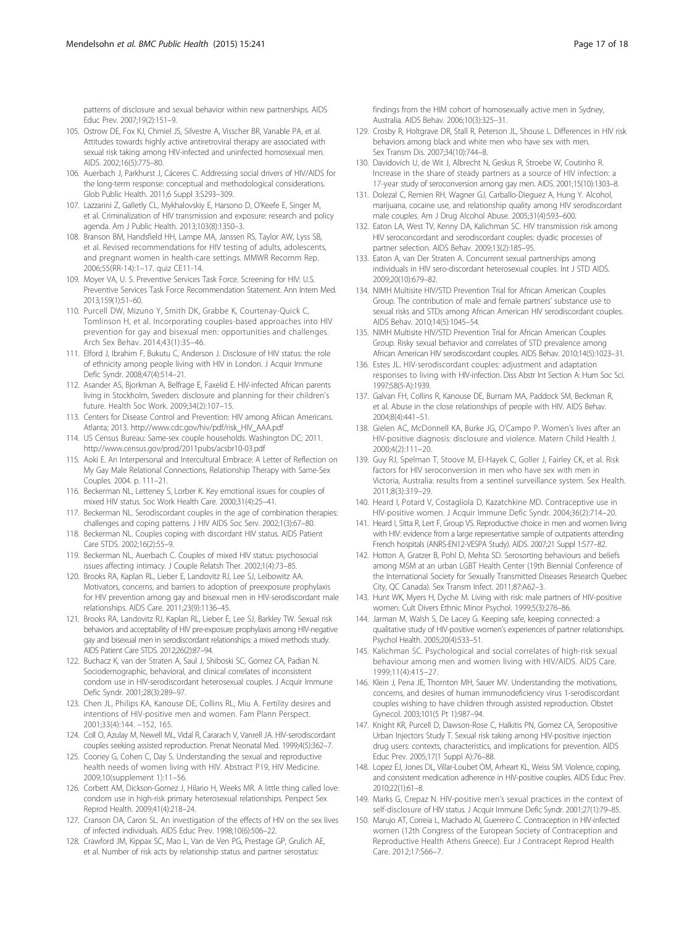<span id="page-16-0"></span>patterns of disclosure and sexual behavior within new partnerships. AIDS Educ Prev. 2007;19(2):151–9.

- 105. Ostrow DE, Fox KJ, Chmiel JS, Silvestre A, Visscher BR, Vanable PA, et al. Attitudes towards highly active antiretroviral therapy are associated with sexual risk taking among HIV-infected and uninfected homosexual men. AIDS. 2002;16(5):775–80.
- 106. Auerbach J, Parkhurst J, Cáceres C. Addressing social drivers of HIV/AIDS for the long-term response: conceptual and methodological considerations. Glob Public Health. 2011;6 Suppl 3:S293–309.
- 107. Lazzarini Z, Galletly CL, Mykhalovskiy E, Harsono D, O'Keefe E, Singer M, et al. Criminalization of HIV transmission and exposure: research and policy agenda. Am J Public Health. 2013;103(8):1350–3.
- 108. Branson BM, Handsfield HH, Lampe MA, Janssen RS, Taylor AW, Lyss SB, et al. Revised recommendations for HIV testing of adults, adolescents, and pregnant women in health-care settings. MMWR Recomm Rep. 2006;55(RR-14):1–17. quiz CE11-14.
- 109. Moyer VA, U. S. Preventive Services Task Force. Screening for HIV: U.S. Preventive Services Task Force Recommendation Statement. Ann Intern Med. 2013;159(1):51–60.
- 110. Purcell DW, Mizuno Y, Smith DK, Grabbe K, Courtenay-Quick C, Tomlinson H, et al. Incorporating couples-based approaches into HIV prevention for gay and bisexual men: opportunities and challenges. Arch Sex Behav. 2014;43(1):35–46.
- 111. Elford J, Ibrahim F, Bukutu C, Anderson J. Disclosure of HIV status: the role of ethnicity among people living with HIV in London. J Acquir Immune Defic Syndr. 2008;47(4):514–21.
- 112. Asander AS, Bjorkman A, Belfrage E, Faxelid E. HIV-infected African parents living in Stockholm, Sweden: disclosure and planning for their children's future. Health Soc Work. 2009;34(2):107–15.
- 113. Centers for Disease Control and Prevention: HIV among African Americans. Atlanta; 2013. [http://www.cdc.gov/hiv/pdf/risk\\_HIV\\_AAA.pdf](http://www.cdc.gov/hiv/pdf/risk_HIV_AAA.pdf)
- 114. US Census Bureau: Same-sex couple households. Washington DC; 2011. <http://www.census.gov/prod/2011pubs/acsbr10-03.pdf>
- 115. Aoki E. An Interpersonal and Intercultural Embrace: A Letter of Reflection on My Gay Male Relational Connections, Relationship Therapy with Same-Sex Couples. 2004. p. 111–21.
- 116. Beckerman NL, Letteney S, Lorber K. Key emotional issues for couples of mixed HIV status. Soc Work Health Care. 2000;31(4):25–41.
- 117. Beckerman NL. Serodiscordant couples in the age of combination therapies: challenges and coping patterns. J HIV AIDS Soc Serv. 2002;1(3):67–80.
- 118. Beckerman NL. Couples coping with discordant HIV status. AIDS Patient Care STDS. 2002;16(2):55–9.
- 119. Beckerman NL, Auerbach C. Couples of mixed HIV status: psychosocial issues affecting intimacy. J Couple Relatsh Ther. 2002;1(4):73–85.
- 120. Brooks RA, Kaplan RL, Lieber E, Landovitz RJ, Lee SJ, Leibowitz AA. Motivators, concerns, and barriers to adoption of preexposure prophylaxis for HIV prevention among gay and bisexual men in HIV-serodiscordant male relationships. AIDS Care. 2011;23(9):1136–45.
- 121. Brooks RA, Landovitz RJ, Kaplan RL, Lieber E, Lee SJ, Barkley TW. Sexual risk behaviors and acceptability of HIV pre-exposure prophylaxis among HIV-negative gay and bisexual men in serodiscordant relationships: a mixed methods study. AIDS Patient Care STDS. 2012;26(2):87–94.
- 122. Buchacz K, van der Straten A, Saul J, Shiboski SC, Gomez CA, Padian N. Sociodemographic, behavioral, and clinical correlates of inconsistent condom use in HIV-serodiscordant heterosexual couples. J Acquir Immune Defic Syndr. 2001;28(3):289–97.
- 123. Chen JL, Philips KA, Kanouse DE, Collins RL, Miu A. Fertility desires and intentions of HIV-positive men and women. Fam Plann Perspect. 2001;33(4):144. –152, 165.
- 124. Coll O, Azulay M, Newell ML, Vidal R, Cararach V, Vanrell JA. HIV-serodiscordant couples seeking assisted reproduction. Prenat Neonatal Med. 1999;4(5):362–7.
- 125. Cooney G, Cohen C, Day S. Understanding the sexual and reproductive health needs of women living with HIV. Abstract P19, HIV Medicine. 2009;10(supplement 1):11–56.
- 126. Corbett AM, Dickson-Gomez J, Hilario H, Weeks MR. A little thing called love: condom use in high-risk primary heterosexual relationships. Perspect Sex Reprod Health. 2009;41(4):218–24.
- 127. Cranson DA, Caron SL. An investigation of the effects of HIV on the sex lives of infected individuals. AIDS Educ Prev. 1998;10(6):506–22.
- 128. Crawford JM, Kippax SC, Mao L, Van de Ven PG, Prestage GP, Grulich AE, et al. Number of risk acts by relationship status and partner serostatus:

findings from the HIM cohort of homosexually active men in Sydney, Australia. AIDS Behav. 2006;10(3):325–31.

- 129. Crosby R, Holtgrave DR, Stall R, Peterson JL, Shouse L. Differences in HIV risk behaviors among black and white men who have sex with men. Sex Transm Dis. 2007;34(10):744–8.
- 130. Davidovich U, de Wit J, Albrecht N, Geskus R, Stroebe W, Coutinho R. Increase in the share of steady partners as a source of HIV infection: a 17-year study of seroconversion among gay men. AIDS. 2001;15(10):1303–8.
- 131. Dolezal C, Remien RH, Wagner GJ, Carballo-Dieguez A, Hung Y. Alcohol, marijuana, cocaine use, and relationship quality among HIV serodiscordant male couples. Am J Drug Alcohol Abuse. 2005;31(4):593–600.
- 132. Eaton LA, West TV, Kenny DA, Kalichman SC. HIV transmission risk among HIV seroconcordant and serodiscordant couples: dyadic processes of partner selection. AIDS Behav. 2009;13(2):185–95.
- 133. Eaton A, van Der Straten A. Concurrent sexual partnerships among individuals in HIV sero-discordant heterosexual couples. Int J STD AIDS. 2009;20(10):679–82.
- 134. NIMH Multisite HIV/STD Prevention Trial for African American Couples Group. The contribution of male and female partners' substance use to sexual risks and STDs among African American HIV serodiscordant couples. AIDS Behav. 2010;14(5):1045–54.
- 135. NIMH Multisite HIV/STD Prevention Trial for African American Couples Group. Risky sexual behavior and correlates of STD prevalence among African American HIV serodiscordant couples. AIDS Behav. 2010;14(5):1023–31.
- 136. Estes JL. HIV-serodiscordant couples: adjustment and adaptation responses to living with HIV-infection. Diss Abstr Int Section A: Hum Soc Sci. 1997;58(5-A):1939.
- 137. Galvan FH, Collins R, Kanouse DE, Burnam MA, Paddock SM, Beckman R, et al. Abuse in the close relationships of people with HIV. AIDS Behav. 2004;8(4):441–51.
- 138. Gielen AC, McDonnell KA, Burke JG, O'Campo P. Women's lives after an HIV-positive diagnosis: disclosure and violence. Matern Child Health J. 2000;4(2):111–20.
- 139. Guy RJ, Spelman T, Stoove M, El-Hayek C, Goller J, Fairley CK, et al. Risk factors for HIV seroconversion in men who have sex with men in Victoria, Australia: results from a sentinel surveillance system. Sex Health. 2011;8(3):319–29.
- 140. Heard I, Potard V, Costagliola D, Kazatchkine MD. Contraceptive use in HIV-positive women. J Acquir Immune Defic Syndr. 2004;36(2):714–20.
- 141. Heard I, Sitta R, Lert F, Group VS. Reproductive choice in men and women living with HIV: evidence from a large representative sample of outpatients attending French hospitals (ANRS-EN12-VESPA Study). AIDS. 2007;21 Suppl 1:S77–82.
- 142. Hotton A, Gratzer B, Pohl D, Mehta SD. Serosorting behaviours and beliefs among MSM at an urban LGBT Health Center (19th Biennial Conference of the International Society for Sexually Transmitted Diseases Research Quebec City, QC Canada). Sex Transm Infect. 2011;87:A62–3.
- 143. Hunt WK, Myers H, Dyche M. Living with risk: male partners of HIV-positive women. Cult Divers Ethnic Minor Psychol. 1999;5(3):276–86.
- 144. Jarman M, Walsh S, De Lacey G. Keeping safe, keeping connected: a qualitative study of HIV-positive women's experiences of partner relationships. Psychol Health. 2005;20(4):533–51.
- 145. Kalichman SC. Psychological and social correlates of high-risk sexual behaviour among men and women living with HIV/AIDS. AIDS Care. 1999;11(4):415–27.
- 146. Klein J, Pena JE, Thornton MH, Sauer MV. Understanding the motivations, concerns, and desires of human immunodeficiency virus 1-serodiscordant couples wishing to have children through assisted reproduction. Obstet Gynecol. 2003;101(5 Pt 1):987–94.
- 147. Knight KR, Purcell D, Dawson-Rose C, Halkitis PN, Gomez CA, Seropositive Urban Injectors Study T. Sexual risk taking among HIV-positive injection drug users: contexts, characteristics, and implications for prevention. AIDS Educ Prev. 2005;17(1 Suppl A):76–88.
- 148. Lopez EJ, Jones DL, Villar-Loubet OM, Arheart KL, Weiss SM. Violence, coping, and consistent medication adherence in HIV-positive couples. AIDS Educ Prev. 2010;22(1):61–8.
- 149. Marks G, Crepaz N. HIV-positive men's sexual practices in the context of self-disclosure of HIV status. J Acquir Immune Defic Syndr. 2001;27(1):79–85.
- 150. Marujo AT, Correia L, Machado AI, Guerreiro C. Contraception in HIV-infected women (12th Congress of the European Society of Contraception and Reproductive Health Athens Greece). Eur J Contracept Reprod Health Care. 2012;17:S66–7.